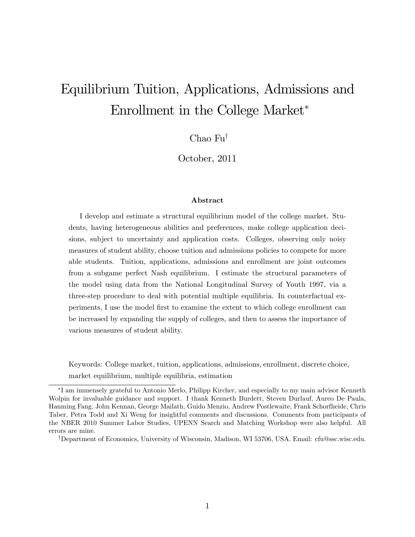# Equilibrium Tuition, Applications, Admissions and Enrollment in the College Market

Chao  $Fu^{\dagger}$ 

October, 2011

### Abstract

I develop and estimate a structural equilibrium model of the college market. Students, having heterogeneous abilities and preferences, make college application decisions, subject to uncertainty and application costs. Colleges, observing only noisy measures of student ability, choose tuition and admissions policies to compete for more able students. Tuition, applications, admissions and enrollment are joint outcomes from a subgame perfect Nash equilibrium. I estimate the structural parameters of the model using data from the National Longitudinal Survey of Youth 1997, via a three-step procedure to deal with potential multiple equilibria. In counterfactual experiments, I use the model Örst to examine the extent to which college enrollment can be increased by expanding the supply of colleges, and then to assess the importance of various measures of student ability.

Keywords: College market, tuition, applications, admissions, enrollment, discrete choice,

market equilibrium, multiple equilibria, estimation

<sup>†</sup>Department of Economics, University of Wisconsin, Madison, WI 53706, USA. Email: cfu@ssc.wisc.edu.

I am immensely grateful to Antonio Merlo, Philipp Kircher, and especially to my main advisor Kenneth Wolpin for invaluable guidance and support. I thank Kenneth Burdett, Steven Durlauf, Aureo De Paula, Hanming Fang, John Kennan, George Mailath, Guido Menzio, Andrew Postlewaite, Frank Schorfheide, Chris Taber, Petra Todd and Xi Weng for insightful comments and discussions. Comments from participants of the NBER 2010 Summer Labor Studies, UPENN Search and Matching Workshop were also helpful. All errors are mine.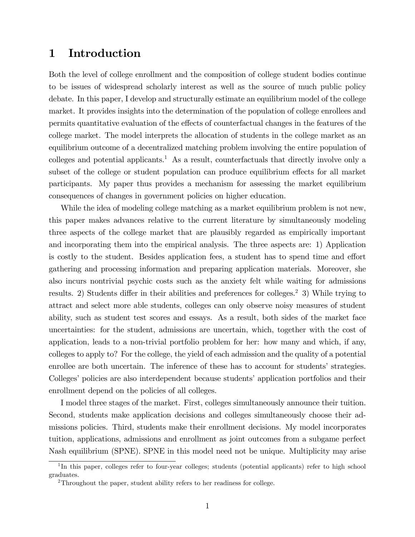# 1 Introduction

Both the level of college enrollment and the composition of college student bodies continue to be issues of widespread scholarly interest as well as the source of much public policy debate. In this paper, I develop and structurally estimate an equilibrium model of the college market. It provides insights into the determination of the population of college enrollees and permits quantitative evaluation of the effects of counterfactual changes in the features of the college market. The model interprets the allocation of students in the college market as an equilibrium outcome of a decentralized matching problem involving the entire population of colleges and potential applicants.<sup>1</sup> As a result, counterfactuals that directly involve only a subset of the college or student population can produce equilibrium effects for all market participants. My paper thus provides a mechanism for assessing the market equilibrium consequences of changes in government policies on higher education.

While the idea of modeling college matching as a market equilibrium problem is not new, this paper makes advances relative to the current literature by simultaneously modeling three aspects of the college market that are plausibly regarded as empirically important and incorporating them into the empirical analysis. The three aspects are: 1) Application is costly to the student. Besides application fees, a student has to spend time and effort gathering and processing information and preparing application materials. Moreover, she also incurs nontrivial psychic costs such as the anxiety felt while waiting for admissions results. 2) Students differ in their abilities and preferences for colleges.<sup>2</sup> 3) While trying to attract and select more able students, colleges can only observe noisy measures of student ability, such as student test scores and essays. As a result, both sides of the market face uncertainties: for the student, admissions are uncertain, which, together with the cost of application, leads to a non-trivial portfolio problem for her: how many and which, if any, colleges to apply to? For the college, the yield of each admission and the quality of a potential enrollee are both uncertain. The inference of these has to account for students' strategies. Colleges' policies are also interdependent because students' application portfolios and their enrollment depend on the policies of all colleges.

I model three stages of the market. First, colleges simultaneously announce their tuition. Second, students make application decisions and colleges simultaneously choose their admissions policies. Third, students make their enrollment decisions. My model incorporates tuition, applications, admissions and enrollment as joint outcomes from a subgame perfect Nash equilibrium (SPNE). SPNE in this model need not be unique. Multiplicity may arise

<sup>&</sup>lt;sup>1</sup>In this paper, colleges refer to four-year colleges; students (potential applicants) refer to high school graduates.

<sup>2</sup>Throughout the paper, student ability refers to her readiness for college.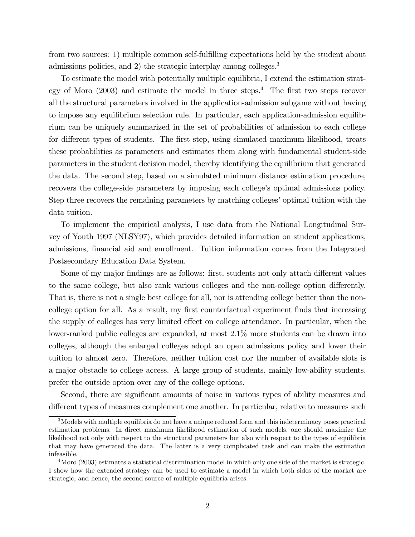from two sources: 1) multiple common self-fulfilling expectations held by the student about admissions policies, and 2) the strategic interplay among colleges.<sup>3</sup>

To estimate the model with potentially multiple equilibria, I extend the estimation strategy of Moro  $(2003)$  and estimate the model in three steps.<sup>4</sup> The first two steps recover all the structural parameters involved in the application-admission subgame without having to impose any equilibrium selection rule. In particular, each application-admission equilibrium can be uniquely summarized in the set of probabilities of admission to each college for different types of students. The first step, using simulated maximum likelihood, treats these probabilities as parameters and estimates them along with fundamental student-side parameters in the student decision model, thereby identifying the equilibrium that generated the data. The second step, based on a simulated minimum distance estimation procedure, recovers the college-side parameters by imposing each college's optimal admissions policy. Step three recovers the remaining parameters by matching colleges' optimal tuition with the data tuition.

To implement the empirical analysis, I use data from the National Longitudinal Survey of Youth 1997 (NLSY97), which provides detailed information on student applications, admissions, financial aid and enrollment. Tuition information comes from the Integrated Postsecondary Education Data System.

Some of my major findings are as follows: first, students not only attach different values to the same college, but also rank various colleges and the non-college option differently. That is, there is not a single best college for all, nor is attending college better than the noncollege option for all. As a result, my first counterfactual experiment finds that increasing the supply of colleges has very limited effect on college attendance. In particular, when the lower-ranked public colleges are expanded, at most  $2.1\%$  more students can be drawn into colleges, although the enlarged colleges adopt an open admissions policy and lower their tuition to almost zero. Therefore, neither tuition cost nor the number of available slots is a major obstacle to college access. A large group of students, mainly low-ability students, prefer the outside option over any of the college options.

Second, there are significant amounts of noise in various types of ability measures and different types of measures complement one another. In particular, relative to measures such

<sup>3</sup>Models with multiple equilibria do not have a unique reduced form and this indeterminacy poses practical estimation problems. In direct maximum likelihood estimation of such models, one should maximize the likelihood not only with respect to the structural parameters but also with respect to the types of equilibria that may have generated the data. The latter is a very complicated task and can make the estimation infeasible.

 $4\text{Moro}$  (2003) estimates a statistical discrimination model in which only one side of the market is strategic. I show how the extended strategy can be used to estimate a model in which both sides of the market are strategic, and hence, the second source of multiple equilibria arises.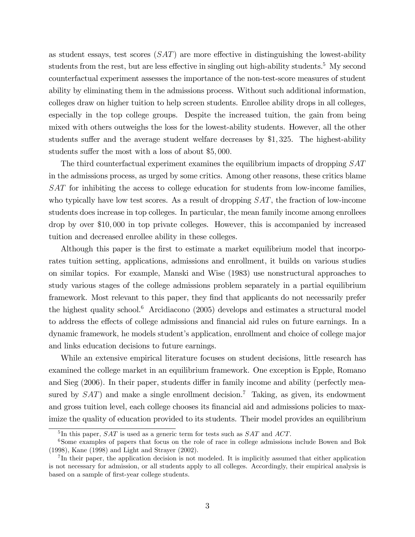as student essays, test scores  $(SAT)$  are more effective in distinguishing the lowest-ability students from the rest, but are less effective in singling out high-ability students.<sup>5</sup> My second counterfactual experiment assesses the importance of the non-test-score measures of student ability by eliminating them in the admissions process. Without such additional information, colleges draw on higher tuition to help screen students. Enrollee ability drops in all colleges, especially in the top college groups. Despite the increased tuition, the gain from being mixed with others outweighs the loss for the lowest-ability students. However, all the other students suffer and the average student welfare decreases by  $$1,325$ . The highest-ability students suffer the most with a loss of about  $$5,000$ .

The third counterfactual experiment examines the equilibrium impacts of dropping  $SAT$ in the admissions process, as urged by some critics. Among other reasons, these critics blame SAT for inhibiting the access to college education for students from low-income families, who typically have low test scores. As a result of dropping SAT, the fraction of low-income students does increase in top colleges. In particular, the mean family income among enrollees drop by over \$10; 000 in top private colleges. However, this is accompanied by increased tuition and decreased enrollee ability in these colleges.

Although this paper is the first to estimate a market equilibrium model that incorporates tuition setting, applications, admissions and enrollment, it builds on various studies on similar topics. For example, Manski and Wise (1983) use nonstructural approaches to study various stages of the college admissions problem separately in a partial equilibrium framework. Most relevant to this paper, they find that applicants do not necessarily prefer the highest quality school.<sup>6</sup> Arcidiacono (2005) develops and estimates a structural model to address the effects of college admissions and financial aid rules on future earnings. In a dynamic framework, he models studentís application, enrollment and choice of college major and links education decisions to future earnings.

While an extensive empirical literature focuses on student decisions, little research has examined the college market in an equilibrium framework. One exception is Epple, Romano and Sieg (2006). In their paper, students differ in family income and ability (perfectly measured by  $SAT$ ) and make a single enrollment decision.<sup>7</sup> Taking, as given, its endowment and gross tuition level, each college chooses its financial aid and admissions policies to maximize the quality of education provided to its students. Their model provides an equilibrium

 ${}^{5}$ In this paper,  $SAT$  is used as a generic term for tests such as  $SAT$  and  $ACT$ .

<sup>&</sup>lt;sup>6</sup>Some examples of papers that focus on the role of race in college admissions include Bowen and Bok (1998), Kane (1998) and Light and Strayer (2002).

<sup>&</sup>lt;sup>7</sup>In their paper, the application decision is not modeled. It is implicitly assumed that either application is not necessary for admission, or all students apply to all colleges. Accordingly, their empirical analysis is based on a sample of first-year college students.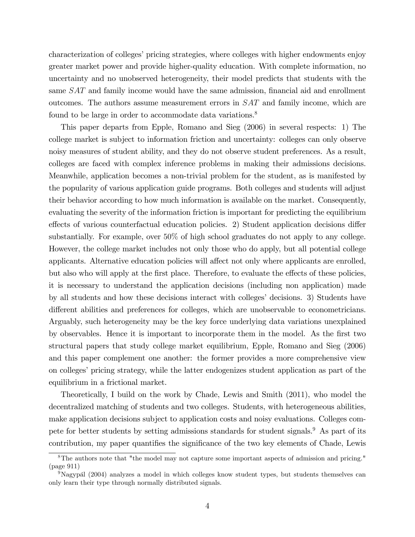characterization of colleges' pricing strategies, where colleges with higher endowments enjoy greater market power and provide higher-quality education. With complete information, no uncertainty and no unobserved heterogeneity, their model predicts that students with the same  $SAT$  and family income would have the same admission, financial aid and enrollment outcomes. The authors assume measurement errors in SAT and family income, which are found to be large in order to accommodate data variations.<sup>8</sup>

This paper departs from Epple, Romano and Sieg (2006) in several respects: 1) The college market is subject to information friction and uncertainty: colleges can only observe noisy measures of student ability, and they do not observe student preferences. As a result, colleges are faced with complex inference problems in making their admissions decisions. Meanwhile, application becomes a non-trivial problem for the student, as is manifested by the popularity of various application guide programs. Both colleges and students will adjust their behavior according to how much information is available on the market. Consequently, evaluating the severity of the information friction is important for predicting the equilibrium effects of various counterfactual education policies. 2) Student application decisions differ substantially. For example, over 50% of high school graduates do not apply to any college. However, the college market includes not only those who do apply, but all potential college applicants. Alternative education policies will affect not only where applicants are enrolled, but also who will apply at the first place. Therefore, to evaluate the effects of these policies, it is necessary to understand the application decisions (including non application) made by all students and how these decisions interact with colleges' decisions. 3) Students have different abilities and preferences for colleges, which are unobservable to econometricians. Arguably, such heterogeneity may be the key force underlying data variations unexplained by observables. Hence it is important to incorporate them in the model. As the first two structural papers that study college market equilibrium, Epple, Romano and Sieg (2006) and this paper complement one another: the former provides a more comprehensive view on colleges' pricing strategy, while the latter endogenizes student application as part of the equilibrium in a frictional market.

Theoretically, I build on the work by Chade, Lewis and Smith (2011), who model the decentralized matching of students and two colleges. Students, with heterogeneous abilities, make application decisions subject to application costs and noisy evaluations. Colleges compete for better students by setting admissions standards for student signals.<sup>9</sup> As part of its contribution, my paper quantifies the significance of the two key elements of Chade, Lewis

<sup>&</sup>lt;sup>8</sup>The authors note that "the model may not capture some important aspects of admission and pricing." (page 911)

 $9$ Nagypál (2004) analyzes a model in which colleges know student types, but students themselves can only learn their type through normally distributed signals.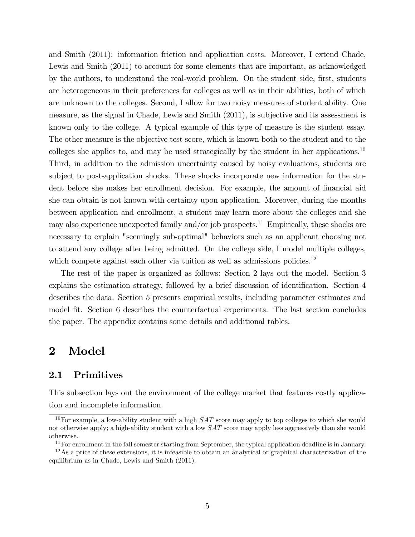and Smith (2011): information friction and application costs. Moreover, I extend Chade, Lewis and Smith (2011) to account for some elements that are important, as acknowledged by the authors, to understand the real-world problem. On the student side, first, students are heterogeneous in their preferences for colleges as well as in their abilities, both of which are unknown to the colleges. Second, I allow for two noisy measures of student ability. One measure, as the signal in Chade, Lewis and Smith (2011), is subjective and its assessment is known only to the college. A typical example of this type of measure is the student essay. The other measure is the objective test score, which is known both to the student and to the colleges she applies to, and may be used strategically by the student in her applications.<sup>10</sup> Third, in addition to the admission uncertainty caused by noisy evaluations, students are subject to post-application shocks. These shocks incorporate new information for the student before she makes her enrollment decision. For example, the amount of financial aid she can obtain is not known with certainty upon application. Moreover, during the months between application and enrollment, a student may learn more about the colleges and she may also experience unexpected family and/or job prospects.<sup>11</sup> Empirically, these shocks are necessary to explain "seemingly sub-optimal" behaviors such as an applicant choosing not to attend any college after being admitted. On the college side, I model multiple colleges, which compete against each other via tuition as well as admissions policies.<sup>12</sup>

The rest of the paper is organized as follows: Section 2 lays out the model. Section 3 explains the estimation strategy, followed by a brief discussion of identification. Section 4 describes the data. Section 5 presents empirical results, including parameter estimates and model fit. Section 6 describes the counterfactual experiments. The last section concludes the paper. The appendix contains some details and additional tables.

# 2 Model

# 2.1 Primitives

This subsection lays out the environment of the college market that features costly application and incomplete information.

<sup>&</sup>lt;sup>10</sup>For example, a low-ability student with a high  $SAT$  score may apply to top colleges to which she would not otherwise apply; a high-ability student with a low  $SAT$  score may apply less aggressively than she would otherwise.

 $11$  For enrollment in the fall semester starting from September, the typical application deadline is in January.

 $12\text{As a price of these extensions, it is infeasible to obtain an analytical or graphical characterization of the$ equilibrium as in Chade, Lewis and Smith (2011).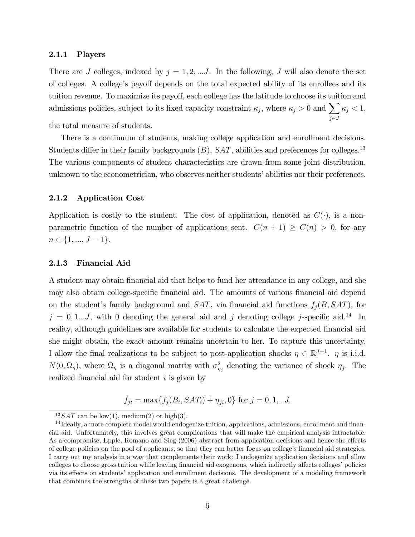#### 2.1.1 Players

There are J colleges, indexed by  $j = 1, 2, \dots J$ . In the following, J will also denote the set of colleges. A college's payoff depends on the total expected ability of its enrollees and its tuition revenue. To maximize its payoff, each college has the latitude to choose its tuition and admissions policies, subject to its fixed capacity constraint  $\kappa_j$ , where  $\kappa_j > 0$  and  $\sum$  $j\in J$  $\kappa_j < 1$ , the total measure of students.

There is a continuum of students, making college application and enrollment decisions. Students differ in their family backgrounds  $(B)$ ,  $SAT$ , abilities and preferences for colleges.<sup>13</sup> The various components of student characteristics are drawn from some joint distribution, unknown to the econometrician, who observes neither students' abilities nor their preferences.

### 2.1.2 Application Cost

Application is costly to the student. The cost of application, denoted as  $C(\cdot)$ , is a nonparametric function of the number of applications sent.  $C(n + 1) \ge C(n) > 0$ , for any  $n \in \{1, ..., J - 1\}.$ 

### 2.1.3 Financial Aid

A student may obtain Önancial aid that helps to fund her attendance in any college, and she may also obtain college-specific financial aid. The amounts of various financial aid depend on the student's family background and  $SAT$ , via financial aid functions  $f_j(B, SAT)$ , for  $j = 0, 1...J$ , with 0 denoting the general aid and j denoting college j-specific aid.<sup>14</sup> In reality, although guidelines are available for students to calculate the expected financial aid she might obtain, the exact amount remains uncertain to her. To capture this uncertainty, I allow the final realizations to be subject to post-application shocks  $\eta \in \mathbb{R}^{J+1}$ .  $\eta$  is i.i.d.  $N(0, \Omega_{\eta})$ , where  $\Omega_{\eta}$  is a diagonal matrix with  $\sigma_{\eta_j}^2$  denoting the variance of shock  $\eta_j$ . The realized financial aid for student  $i$  is given by

$$
f_{ji} = \max\{f_j(B_i, SAT_i) + \eta_{ji}, 0\}
$$
 for  $j = 0, 1, ...J$ .

<sup>&</sup>lt;sup>13</sup> SAT can be low(1), medium(2) or high(3).

 $14$  Ideally, a more complete model would endogenize tuition, applications, admissions, enrollment and financial aid. Unfortunately, this involves great complications that will make the empirical analysis intractable. As a compromise, Epple, Romano and Sieg (2006) abstract from application decisions and hence the effects of college policies on the pool of applicants, so that they can better focus on college's financial aid strategies. I carry out my analysis in a way that complements their work: I endogenize application decisions and allow colleges to choose gross tuition while leaving financial aid exogenous, which indirectly affects colleges' policies via its effects on students' application and enrollment decisions. The development of a modeling framework that combines the strengths of these two papers is a great challenge.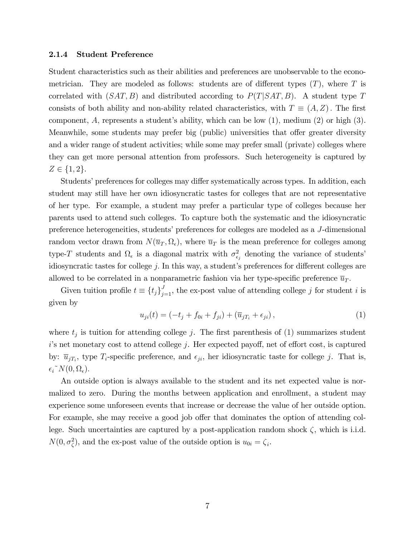#### 2.1.4 Student Preference

Student characteristics such as their abilities and preferences are unobservable to the econometrician. They are modeled as follows: students are of different types  $(T)$ , where T is correlated with  $(SAT, B)$  and distributed according to  $P(T|SAT, B)$ . A student type T consists of both ability and non-ability related characteristics, with  $T \equiv (A, Z)$ . The first component, A, represents a student's ability, which can be low  $(1)$ , medium  $(2)$  or high  $(3)$ . Meanwhile, some students may prefer big (public) universities that offer greater diversity and a wider range of student activities; while some may prefer small (private) colleges where they can get more personal attention from professors. Such heterogeneity is captured by  $Z \in \{1, 2\}.$ 

Students' preferences for colleges may differ systematically across types. In addition, each student may still have her own idiosyncratic tastes for colleges that are not representative of her type. For example, a student may prefer a particular type of colleges because her parents used to attend such colleges. To capture both the systematic and the idiosyncratic preference heterogeneities, students' preferences for colleges are modeled as a J-dimensional random vector drawn from  $N(\overline{u}_T, \Omega_\epsilon)$ , where  $\overline{u}_T$  is the mean preference for colleges among type-T students and  $\Omega_{\epsilon}$  is a diagonal matrix with  $\sigma_{\epsilon_j}^2$  denoting the variance of students' idiosyncratic tastes for college  $j$ . In this way, a student's preferences for different colleges are allowed to be correlated in a nonparametric fashion via her type-specific preference  $\overline{u}_T$ .

Given tuition profile  $t \equiv \{t_j\}_{j=1}^J$ , the ex-post value of attending college j for student i is given by

$$
u_{ji}(t) = (-t_j + f_{0i} + f_{ji}) + (\overline{u}_{jT_i} + \epsilon_{ji}),
$$
\n(1)

where  $t_j$  is tuition for attending college j. The first parenthesis of (1) summarizes student  $i$ 's net monetary cost to attend college j. Her expected payoff, net of effort cost, is captured by:  $\overline{u}_{jT_i}$ , type  $T_i$ -specific preference, and  $\epsilon_{ji}$ , her idiosyncratic taste for college j. That is,  $\epsilon_i^{\sim} N(0, \Omega_{\epsilon}).$ 

An outside option is always available to the student and its net expected value is normalized to zero. During the months between application and enrollment, a student may experience some unforeseen events that increase or decrease the value of her outside option. For example, she may receive a good job offer that dominates the option of attending college. Such uncertainties are captured by a post-application random shock  $\zeta$ , which is i.i.d.  $N(0, \sigma_{\zeta}^2)$ , and the ex-post value of the outside option is  $u_{0i} = \zeta_i$ .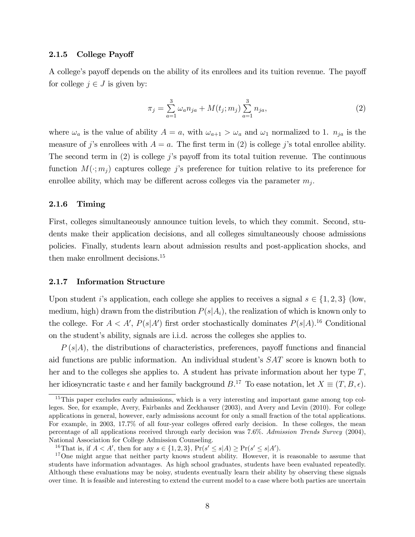### 2.1.5 College Payoff

A college's payoff depends on the ability of its enrollees and its tuition revenue. The payoff for college  $j \in J$  is given by:

$$
\pi_j = \sum_{a=1}^3 \omega_a n_{ja} + M(t_j; m_j) \sum_{a=1}^3 n_{ja},\tag{2}
$$

where  $\omega_a$  is the value of ability  $A = a$ , with  $\omega_{a+1} > \omega_a$  and  $\omega_1$  normalized to 1.  $n_{ja}$  is the measure of j's enrollees with  $A = a$ . The first term in (2) is college j's total enrollee ability. The second term in  $(2)$  is college j's payoff from its total tuition revenue. The continuous function  $M(\cdot; m_i)$  captures college j's preference for tuition relative to its preference for enrollee ability, which may be different across colleges via the parameter  $m_j$ .

### 2.1.6 Timing

First, colleges simultaneously announce tuition levels, to which they commit. Second, students make their application decisions, and all colleges simultaneously choose admissions policies. Finally, students learn about admission results and post-application shocks, and then make enrollment decisions.<sup>15</sup>

### 2.1.7 Information Structure

Upon student i's application, each college she applies to receives a signal  $s \in \{1, 2, 3\}$  (low, medium, high) drawn from the distribution  $P(s|A_i)$ , the realization of which is known only to the college. For  $A < A'$ ,  $P(s|A')$  first order stochastically dominates  $P(s|A)$ <sup>16</sup> Conditional on the student's ability, signals are i.i.d. across the colleges she applies to.

 $P(s|A)$ , the distributions of characteristics, preferences, payoff functions and financial aid functions are public information. An individual student's  $SAT$  score is known both to her and to the colleges she applies to. A student has private information about her type T, her idiosyncratic taste  $\epsilon$  and her family background  $B$ <sup>17</sup> To ease notation, let  $X \equiv (T, B, \epsilon)$ .

<sup>&</sup>lt;sup>15</sup>This paper excludes early admissions, which is a very interesting and important game among top colleges. See, for example, Avery, Fairbanks and Zeckhauser (2003), and Avery and Levin (2010). For college applications in general, however, early admissions account for only a small fraction of the total applications. For example, in 2003, 17.7% of all four-year colleges offered early decision. In these colleges, the mean percentage of all applications received through early decision was 7:6%: Admission Trends Survey (2004), National Association for College Admission Counseling.

<sup>&</sup>lt;sup>16</sup>That is, if  $A < A'$ , then for any  $s \in \{1, 2, 3\}$ ,  $Pr(s' \le s | A) \ge Pr(s' \le s | A')$ .

<sup>&</sup>lt;sup>17</sup>One might argue that neither party knows student ability. However, it is reasonable to assume that students have information advantages. As high school graduates, students have been evaluated repeatedly. Although these evaluations may be noisy, students eventually learn their ability by observing these signals over time. It is feasible and interesting to extend the current model to a case where both parties are uncertain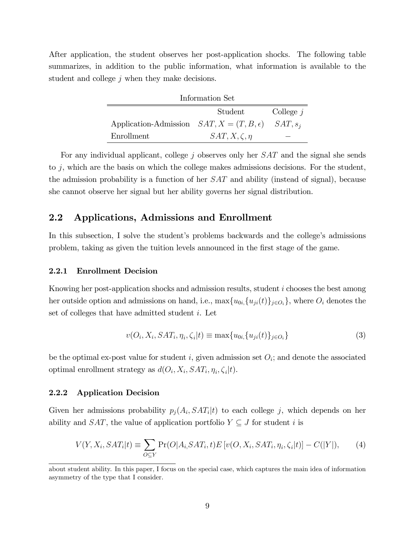After application, the student observes her post-application shocks. The following table summarizes, in addition to the public information, what information is available to the student and college  $j$  when they make decisions.

| Information Set                                              |                       |  |  |  |
|--------------------------------------------------------------|-----------------------|--|--|--|
| Student<br>College $j$                                       |                       |  |  |  |
| Application-Admission $SAT, X = (T, B, \epsilon)$ $SAT, s_i$ |                       |  |  |  |
| Enrollment                                                   | $SAT, X, \zeta, \eta$ |  |  |  |

For any individual applicant, college j observes only her SAT and the signal she sends to j, which are the basis on which the college makes admissions decisions. For the student, the admission probability is a function of her SAT and ability (instead of signal), because she cannot observe her signal but her ability governs her signal distribution.

### 2.2 Applications, Admissions and Enrollment

In this subsection, I solve the student's problems backwards and the college's admissions problem, taking as given the tuition levels announced in the Örst stage of the game.

#### 2.2.1 Enrollment Decision

þ

Knowing her post-application shocks and admission results, student i chooses the best among her outside option and admissions on hand, i.e.,  $\max\{u_{0i}, \{u_{ji}(t)\}_{j\in O_i}\}$ , where  $O_i$  denotes the set of colleges that have admitted student i. Let

$$
v(O_i, X_i, SAT_i, \eta_i, \zeta_i | t) \equiv \max\{u_{0i}, \{u_{ji}(t)\}_{j \in O_i}\}\tag{3}
$$

be the optimal ex-post value for student i, given admission set  $O_i$ ; and denote the associated optimal enrollment strategy as  $d(O_i, X_i, SAT_i, \eta_i, \zeta_i | t)$ .

### 2.2.2 Application Decision

Given her admissions probability  $p_j(A_i, SAT_i | t)$  to each college j, which depends on her ability and SAT, the value of application portfolio  $Y \subseteq J$  for student i is

$$
V(Y, X_i, SAT_i | t) \equiv \sum_{O \subseteq Y} \Pr(O | A_i, SAT_i, t) E[v(O, X_i, SAT_i, \eta_i, \zeta_i | t)] - C(|Y|), \tag{4}
$$

about student ability. In this paper, I focus on the special case, which captures the main idea of information asymmetry of the type that I consider.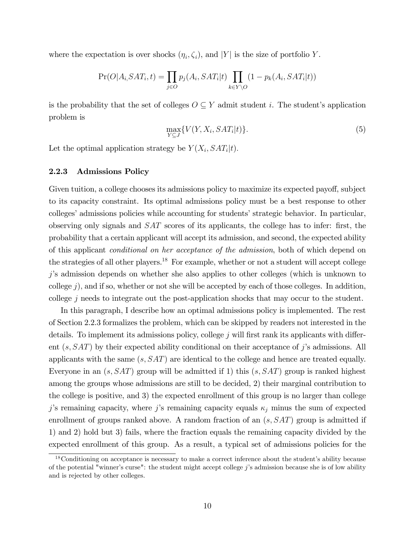where the expectation is over shocks  $(\eta_i, \zeta_i)$ , and  $|Y|$  is the size of portfolio Y.

$$
Pr(O|A_i, SAT_i, t) = \prod_{j \in O} p_j(A_i, SAT_i | t) \prod_{k \in Y \setminus O} (1 - p_k(A_i, SAT_i | t))
$$

is the probability that the set of colleges  $O \subseteq Y$  admit student i. The student's application problem is

$$
\max_{Y \subseteq J} \{ V(Y, X_i, SAT_i | t) \}.
$$
\n<sup>(5)</sup>

Let the optimal application strategy be  $Y(X_i, SAT_i|t)$ .

### 2.2.3 Admissions Policy

Given tuition, a college chooses its admissions policy to maximize its expected payoff, subject to its capacity constraint. Its optimal admissions policy must be a best response to other colleges' admissions policies while accounting for students' strategic behavior. In particular, observing only signals and  $SAT$  scores of its applicants, the college has to infer: first, the probability that a certain applicant will accept its admission, and second, the expected ability of this applicant conditional on her acceptance of the admission, both of which depend on the strategies of all other players.<sup>18</sup> For example, whether or not a student will accept college jís admission depends on whether she also applies to other colleges (which is unknown to college  $j$ ), and if so, whether or not she will be accepted by each of those colleges. In addition, college j needs to integrate out the post-application shocks that may occur to the student.

In this paragraph, I describe how an optimal admissions policy is implemented. The rest of Section 2.2.3 formalizes the problem, which can be skipped by readers not interested in the details. To implement its admissions policy, college  $j$  will first rank its applicants with different  $(s, SAT)$  by their expected ability conditional on their acceptance of j's admissions. All applicants with the same  $(s, SAT)$  are identical to the college and hence are treated equally. Everyone in an  $(s, SAT)$  group will be admitted if 1) this  $(s, SAT)$  group is ranked highest among the groups whose admissions are still to be decided, 2) their marginal contribution to the college is positive, and 3) the expected enrollment of this group is no larger than college j's remaining capacity, where j's remaining capacity equals  $\kappa_j$  minus the sum of expected enrollment of groups ranked above. A random fraction of an  $(s, SAT)$  group is admitted if 1) and 2) hold but 3) fails, where the fraction equals the remaining capacity divided by the expected enrollment of this group. As a result, a typical set of admissions policies for the

 $18$ Conditioning on acceptance is necessary to make a correct inference about the student's ability because of the potential "winner's curse": the student might accept college  $j$ 's admission because she is of low ability and is rejected by other colleges.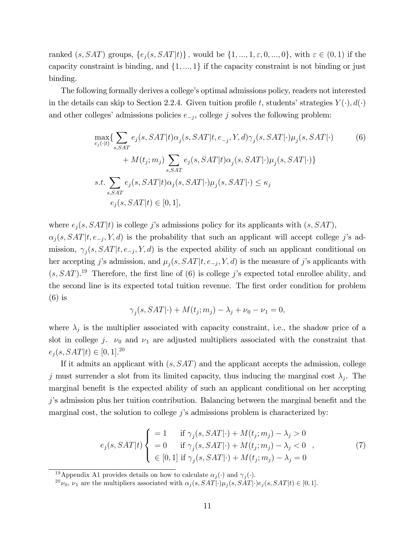ranked  $(s, SAT)$  groups,  $\{e_j(s, SAT|t)\}\$ , would be  $\{1, ..., 1, \varepsilon, 0, ..., 0\}\$ , with  $\varepsilon \in (0, 1)$  if the capacity constraint is binding, and  $\{1, ..., 1\}$  if the capacity constraint is not binding or just binding.

The following formally derives a college's optimal admissions policy, readers not interested in the details can skip to Section 2.2.4. Given tuition profile t, students' strategies  $Y(\cdot), d(\cdot)$ and other colleges' admissions policies  $e_{-j}$ , college j solves the following problem:

$$
\max_{e_j(\cdot|t)} \{ \sum_{s,SAT} e_j(s, SAT | t) \alpha_j(s, SAT | t, e_{-j}, Y, d) \gamma_j(s, SAT | \cdot) \mu_j(s, SAT | \cdot) + M(t_j; m_j) \sum_{s, SAT} e_j(s, SAT | t) \alpha_j(s, SAT | \cdot) \mu_j(s, SAT | \cdot) \}
$$
\n
$$
s.t. \sum_{s, SAT} e_j(s, SAT | t) \alpha_j(s, SAT | \cdot) \mu_j(s, SAT | \cdot) \le \kappa_j
$$
\n
$$
e_j(s, SAT | t) \in [0, 1],
$$
\n
$$
(6)
$$

where  $e_j(s, SAT|t)$  is college j's admissions policy for its applicants with  $(s, SAT)$ ,

 $\alpha_j(s, SAT | t, e_{-j}, Y, d)$  is the probability that such an applicant will accept college j's admission,  $\gamma_j(s, SAT | t, e_{-j}, Y, d)$  is the expected ability of such an applicant conditional on her accepting j's admission, and  $\mu_j(s, SAT | t, e_{-j}, Y, d)$  is the measure of j's applicants with  $(s, SAT).$ <sup>19</sup> Therefore, the first line of (6) is college j's expected total enrollee ability, and the second line is its expected total tuition revenue. The first order condition for problem (6) is

$$
\gamma_j(s, SAT | \cdot) + M(t_j; m_j) - \lambda_j + \nu_0 - \nu_1 = 0,
$$

where  $\lambda_j$  is the multiplier associated with capacity constraint, i.e., the shadow price of a slot in college j.  $\nu_0$  and  $\nu_1$  are adjusted multipliers associated with the constraint that  $e_j(s, SAT|t) \in [0, 1].^{20}$ 

If it admits an applicant with  $(s, SAT)$  and the applicant accepts the admission, college j must surrender a slot from its limited capacity, thus inducing the marginal cost  $\lambda_j$ . The marginal benefit is the expected ability of such an applicant conditional on her accepting  $j$ 's admission plus her tuition contribution. Balancing between the marginal benefit and the marginal cost, the solution to college  $j$ 's admissions problem is characterized by:

$$
e_j(s, SAT|t) \begin{cases} = 1 & \text{if } \gamma_j(s, SAT|\cdot) + M(t_j; m_j) - \lambda_j > 0 \\ = 0 & \text{if } \gamma_j(s, SAT|\cdot) + M(t_j; m_j) - \lambda_j < 0 \\ \in [0, 1] & \text{if } \gamma_j(s, SAT|\cdot) + M(t_j; m_j) - \lambda_j = 0 \end{cases}
$$
(7)

<sup>&</sup>lt;sup>19</sup>Appendix A1 provides details on how to calculate  $\alpha_j(\cdot)$  and  $\gamma_j(\cdot)$ .

 $^{20}\nu_0$ ,  $\nu_1$  are the multipliers associated with  $\alpha_j(s, SAT | \cdot) \mu_j(s, SAT | \cdot) e_j(s, SAT | t) \in [0, 1].$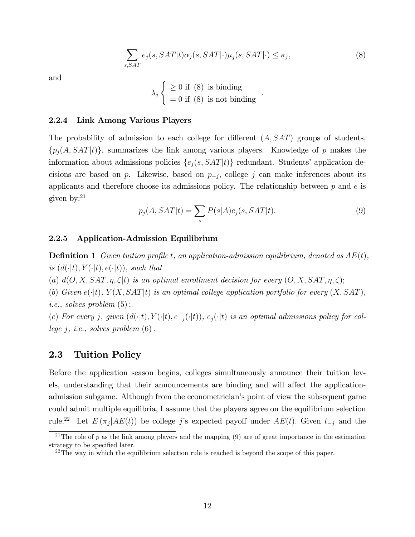$$
\sum_{s, SAT} e_j(s, SAT | t) \alpha_j(s, SAT | \cdot) \mu_j(s, SAT | \cdot) \le \kappa_j,
$$
\n(8)

:

and

$$
\lambda_j \begin{cases} \geq 0 \text{ if (8) is binding} \\ = 0 \text{ if (8) is not binding} \end{cases}
$$

### 2.2.4 Link Among Various Players

The probability of admission to each college for different  $(A, SAT)$  groups of students,  $\{p_i(A, SAT|t)\}\$ , summarizes the link among various players. Knowledge of p makes the information about admissions policies  $\{e_j(s, SAT|t)\}\$  redundant. Students' application decisions are based on  $p$ . Likewise, based on  $p_{-j}$ , college j can make inferences about its applicants and therefore choose its admissions policy. The relationship between  $p$  and  $e$  is given by:<sup>21</sup>

$$
p_j(A, SAT|t) = \sum_s P(s|A)e_j(s, SAT|t).
$$
\n(9)

### 2.2.5 Application-Admission Equilibrium

**Definition 1** Given tuition profile t, an application-admission equilibrium, denoted as  $AE(t)$ , is  $(d(\cdot|t), Y(\cdot|t), e(\cdot|t))$ , such that

(a)  $d(O, X, SAT, \eta, \zeta | t)$  is an optimal enrollment decision for every  $(O, X, SAT, \eta, \zeta);$ 

(b) Given  $e(\cdot|t)$ ,  $Y(X, SAT|t)$  is an optimal college application portfolio for every  $(X, SAT)$ , *i.e.*, *solves* problem  $(5)$ ;

(c) For every j, given  $(d(\cdot|t), Y(\cdot|t), e_{-j}(\cdot|t)), e_j(\cdot|t)$  is an optimal admissions policy for college  $j$ , *i.e.*, solves problem  $(6)$ .

### 2.3 Tuition Policy

Before the application season begins, colleges simultaneously announce their tuition levels, understanding that their announcements are binding and will affect the applicationadmission subgame. Although from the econometrician's point of view the subsequent game could admit multiple equilibria, I assume that the players agree on the equilibrium selection rule.<sup>22</sup> Let  $E(\pi_j|AE(t))$  be college j's expected payoff under  $AE(t)$ . Given  $t_{-j}$  and the

<sup>&</sup>lt;sup>21</sup>The role of p as the link among players and the mapping  $(9)$  are of great importance in the estimation strategy to be specified later.

<sup>&</sup>lt;sup>22</sup>The way in which the equilibrium selection rule is reached is beyond the scope of this paper.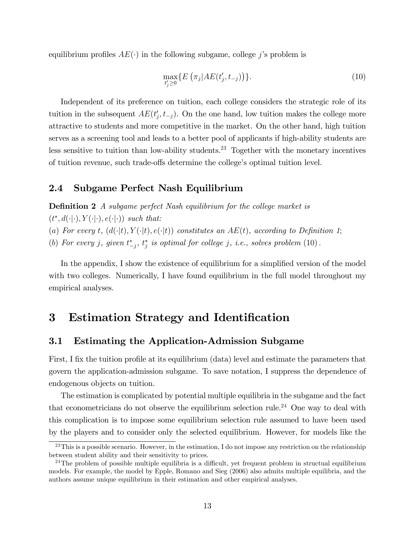equilibrium profiles  $AE(\cdot)$  in the following subgame, college j's problem is

$$
\max_{t'_j \ge 0} \{ E\left(\pi_j | AE(t'_j, t_{-j})\right) \}.
$$
\n(10)

Independent of its preference on tuition, each college considers the strategic role of its tuition in the subsequent  $AE(t'_{j}, t_{-j})$ . On the one hand, low tuition makes the college more attractive to students and more competitive in the market. On the other hand, high tuition serves as a screening tool and leads to a better pool of applicants if high-ability students are less sensitive to tuition than low-ability students.<sup>23</sup> Together with the monetary incentives of tuition revenue, such trade-offs determine the college's optimal tuition level.

### 2.4 Subgame Perfect Nash Equilibrium

**Definition 2** A subgame perfect Nash equilibrium for the college market is

 $(t^*, d(\cdot|\cdot), Y(\cdot|\cdot), e(\cdot|\cdot))$  such that:

(a) For every t,  $(d(\cdot|t), Y(\cdot|t), e(\cdot|t))$  constitutes an AE(t), according to Definition 1;

(b) For every j, given  $t_{-j}^*$ ,  $t_j^*$  is optimal for college j, i.e., solves problem  $(10)$ .

In the appendix, I show the existence of equilibrium for a simplified version of the model with two colleges. Numerically, I have found equilibrium in the full model throughout my empirical analyses.

# 3 Estimation Strategy and Identification

# 3.1 Estimating the Application-Admission Subgame

First, I fix the tuition profile at its equilibrium (data) level and estimate the parameters that govern the application-admission subgame. To save notation, I suppress the dependence of endogenous objects on tuition.

The estimation is complicated by potential multiple equilibria in the subgame and the fact that econometricians do not observe the equilibrium selection rule.<sup>24</sup> One way to deal with this complication is to impose some equilibrium selection rule assumed to have been used by the players and to consider only the selected equilibrium. However, for models like the

 $23$ This is a possible scenario. However, in the estimation, I do not impose any restriction on the relationship between student ability and their sensitivity to prices.

<sup>&</sup>lt;sup>24</sup>The problem of possible multiple equilibria is a difficult, yet frequent problem in structual equilibrium models. For example, the model by Epple, Romano and Sieg (2006) also admits multiple equilibria, and the authors assume unique equilibrium in their estimation and other empirical analyses.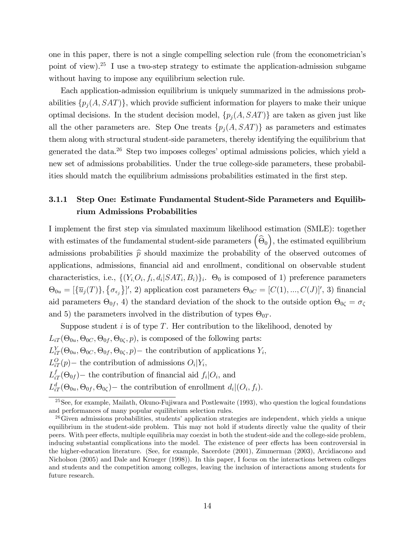one in this paper, there is not a single compelling selection rule (from the econometricianís point of view).<sup>25</sup> I use a two-step strategy to estimate the application-admission subgame without having to impose any equilibrium selection rule.

Each application-admission equilibrium is uniquely summarized in the admissions probabilities  $\{p_j(A, SAT)\}\$ , which provide sufficient information for players to make their unique optimal decisions. In the student decision model,  $\{p_j(A, SAT)\}\$ are taken as given just like all the other parameters are. Step One treats  $\{p_i(A, SAT)\}\$ as parameters and estimates them along with structural student-side parameters, thereby identifying the equilibrium that generated the data.<sup>26</sup> Step two imposes colleges' optimal admissions policies, which yield a new set of admissions probabilities. Under the true college-side parameters, these probabilities should match the equilibrium admissions probabilities estimated in the first step.

# 3.1.1 Step One: Estimate Fundamental Student-Side Parameters and Equilibrium Admissions Probabilities

I implement the Örst step via simulated maximum likelihood estimation (SMLE): together with estimates of the fundamental student-side parameters  $\left(\widehat{\Theta}_0\right)$ ), the estimated equilibrium admissions probabilities  $\hat{p}$  should maximize the probability of the observed outcomes of applications, admissions, financial aid and enrollment, conditional on observable student characteristics, i.e.,  $\{(Y_i, O_i, f_i, d_i | SAT_i, B_i)\}_i$ .  $\Theta_0$  is composed of 1) preference parameters  $\Theta_{0u} = [\{\overline{u}_j(T)\}, \{\sigma_{\epsilon_j}\}'$ , 2) application cost parameters  $\Theta_{0C} = [C(1), ..., C(J)]'$ , 3) financial aid parameters  $\Theta_{0f}$ , 4) the standard deviation of the shock to the outside option  $\Theta_{0\zeta} = \sigma_{\zeta}$ and 5) the parameters involved in the distribution of types  $\Theta_{0T}$ .

Suppose student  $i$  is of type  $T$ . Her contribution to the likelihood, denoted by  $L_{iT}(\Theta_{0u}, \Theta_{0C}, \Theta_{0f}, \Theta_{0\zeta}, p)$ , is composed of the following parts:  $L_{iT}^Y(\Theta_{0u}, \Theta_{0C}, \Theta_{0f}, \Theta_{0\zeta}, p)$  the contribution of applications  $Y_i$ ,  $L_{iT}^O(p)$  – the contribution of admissions  $O_i|Y_i$ ,  $L_{iT}^f(\Theta_{0f})$  – the contribution of financial aid  $f_i|O_i$ , and  $L^d_{iT}(\Theta_{0u}, \Theta_{0f}, \Theta_{0\zeta})$  the contribution of enrollment  $d_i|(O_i, f_i)$ .

 $25$ See, for example, Mailath, Okuno-Fujiwara and Postlewaite (1993), who question the logical foundations and performances of many popular equilibrium selection rules.

 $26$ Given admissions probabilities, students' application strategies are independent, which yields a unique equilibrium in the student-side problem. This may not hold if students directly value the quality of their peers. With peer effects, multiple equilibria may coexist in both the student-side and the college-side problem, inducing substantial complications into the model. The existence of peer effects has been controversial in the higher-education literature. (See, for example, Sacerdote (2001), Zimmerman (2003), Arcidiacono and Nicholson (2005) and Dale and Krueger (1998)). In this paper, I focus on the interactions between colleges and students and the competition among colleges, leaving the inclusion of interactions among students for future research.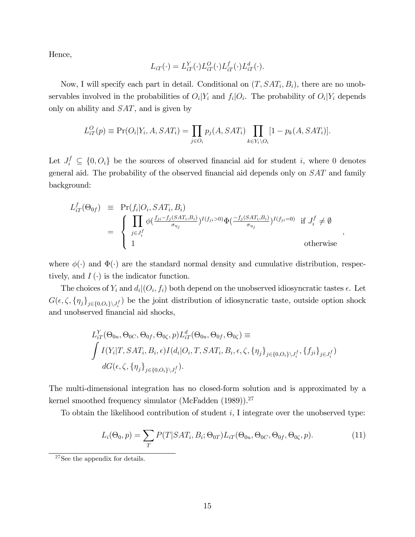Hence,

$$
L_{iT}(\cdot) = L_{iT}^Y(\cdot) L_{iT}^Q(\cdot) L_{iT}^f(\cdot) L_{iT}^d(\cdot).
$$

Now, I will specify each part in detail. Conditional on  $(T, SAT_i, B_i)$ , there are no unobservables involved in the probabilities of  $O_i|Y_i$  and  $f_i|O_i$ . The probability of  $O_i|Y_i$  depends only on ability and SAT, and is given by

$$
L_{iT}^O(p) \equiv \Pr(O_i|Y_i, A, SAT_i) = \prod_{j \in O_i} p_j(A, SAT_i) \prod_{k \in Y_i \setminus O_i} [1 - p_k(A, SAT_i)].
$$

Let  $J_i^f \subseteq \{0, O_i\}$  be the sources of observed financial aid for student i, where 0 denotes general aid. The probability of the observed financial aid depends only on  $SAT$  and family background:

$$
L_{iT}^f(\Theta_{0f}) \equiv \Pr(f_i|O_i, SAT_i, B_i)
$$
  
= 
$$
\begin{cases} \prod_{j \in J_i^f} \phi(\frac{f_{ji} - f_j(SAT_i, B_i)}{\sigma_{\eta_j}})^{I(f_{ji} > 0)} \Phi(\frac{-f_j(SAT_i, B_i)}{\sigma_{\eta_j}})^{I(f_{ji} = 0)} & \text{if } J_i^f \neq \emptyset \\ 1 & \text{otherwise} \end{cases}
$$

;

where  $\phi(\cdot)$  and  $\Phi(\cdot)$  are the standard normal density and cumulative distribution, respectively, and  $I(\cdot)$  is the indicator function.

The choices of  $Y_i$  and  $d_i|(O_i, f_i)$  both depend on the unobserved idiosyncratic tastes  $\epsilon$ . Let  $G(\epsilon, \zeta, \{\eta_j\}_{j\in\{0, O_i\}\setminus J_i^f})$  be the joint distribution of idiosyncratic taste, outside option shock and unobserved financial aid shocks,

$$
L_{iT}^Y(\Theta_{0u}, \Theta_{0C}, \Theta_{0f}, \Theta_{0\zeta}, p)L_{iT}^d(\Theta_{0u}, \Theta_{0f}, \Theta_{0\zeta}) \equiv
$$
  

$$
\int I(Y_i|T, SAT_i, B_i, \epsilon)I(d_i|O_i, T, SAT_i, B_i, \epsilon, \zeta, \{\eta_j\}_{j \in \{0, O_i\} \setminus J_i^f}, \{f_{ji}\}_{j \in J_i^f})
$$
  

$$
dG(\epsilon, \zeta, \{\eta_j\}_{j \in \{0, O_i\} \setminus J_i^f}).
$$

The multi-dimensional integration has no closed-form solution and is approximated by a kernel smoothed frequency simulator (McFadden (1989)).<sup>27</sup>

To obtain the likelihood contribution of student  $i$ , I integrate over the unobserved type:

$$
L_i(\Theta_0, p) = \sum_T P(T|SAT_i, B_i; \Theta_{0T}) L_{iT}(\Theta_{0u}, \Theta_{0C}, \Theta_{0f}, \Theta_{0\zeta}, p).
$$
\n(11)

<sup>&</sup>lt;sup>27</sup>See the appendix for details.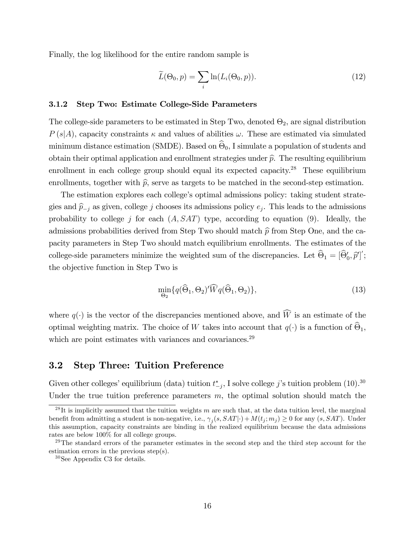Finally, the log likelihood for the entire random sample is

$$
\widetilde{L}(\Theta_0, p) = \sum_i \ln(L_i(\Theta_0, p)). \tag{12}
$$

### 3.1.2 Step Two: Estimate College-Side Parameters

The college-side parameters to be estimated in Step Two, denoted  $\Theta_2$ , are signal distribution  $P(s|A)$ , capacity constraints  $\kappa$  and values of abilities  $\omega$ . These are estimated via simulated minimum distance estimation (SMDE). Based on  $\Theta_0$ , I simulate a population of students and obtain their optimal application and enrollment strategies under  $\hat{p}$ . The resulting equilibrium enrollment in each college group should equal its expected capacity.<sup>28</sup> These equilibrium enrollments, together with  $\hat{p}$ , serve as targets to be matched in the second-step estimation.

The estimation explores each college's optimal admissions policy: taking student strategies and  $\hat{p}_{-j}$  as given, college j chooses its admissions policy  $e_j$ . This leads to the admissions probability to college j for each  $(A, SAT)$  type, according to equation (9). Ideally, the admissions probabilities derived from Step Two should match  $\hat{p}$  from Step One, and the capacity parameters in Step Two should match equilibrium enrollments. The estimates of the college-side parameters minimize the weighted sum of the discrepancies. Let  $\Theta_1 = [\Theta'_0, \hat{p}']'$ ; the objective function in Step Two is

$$
\min_{\Theta_2} \{ q(\widehat{\Theta}_1, \Theta_2)' \widehat{W} q(\widehat{\Theta}_1, \Theta_2) \},\tag{13}
$$

where  $q(\cdot)$  is the vector of the discrepancies mentioned above, and  $\widehat{W}$  is an estimate of the optimal weighting matrix. The choice of W takes into account that  $q(\cdot)$  is a function of  $\Theta_1$ , which are point estimates with variances and covariances.<sup>29</sup>

### 3.2 Step Three: Tuition Preference

Given other colleges' equilibrium (data) tuition  $t_{-j}^*$ , I solve college j's tuition problem (10).<sup>30</sup> Under the true tuition preference parameters  $m$ , the optimal solution should match the

 $^{28}$ It is implicitly assumed that the tuition weights m are such that, at the data tuition level, the marginal benefit from admitting a student is non-negative, i.e.,  $\gamma_j(s, SAT | \cdot) + M(t_j; m_j) \geq 0$  for any  $(s, SAT)$ . Under this assumption, capacity constraints are binding in the realized equilibrium because the data admissions rates are below 100% for all college groups.

 $^{29}$ The standard errors of the parameter estimates in the second step and the third step account for the estimation errors in the previous step(s).

<sup>30</sup>See Appendix C3 for details.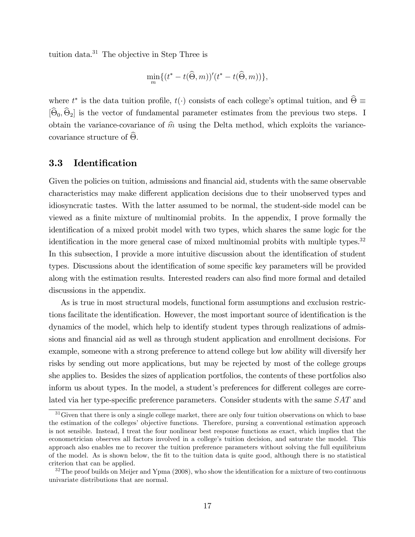tuition data.<sup>31</sup> The objective in Step Three is

$$
\min_{m} \{ (t^* - t(\widehat{\Theta}, m))'(t^* - t(\widehat{\Theta}, m)) \},\
$$

where  $t^*$  is the data tuition profile,  $t(\cdot)$  consists of each college's optimal tuition, and  $\Theta \equiv$  $[\Theta_0, \Theta_2]$  is the vector of fundamental parameter estimates from the previous two steps. I obtain the variance-covariance of  $\hat{m}$  using the Delta method, which exploits the variancecovariance structure of  $\Theta$ .

### 3.3 Identification

Given the policies on tuition, admissions and financial aid, students with the same observable characteristics may make different application decisions due to their unobserved types and idiosyncratic tastes. With the latter assumed to be normal, the student-side model can be viewed as a finite mixture of multinomial probits. In the appendix, I prove formally the identification of a mixed probit model with two types, which shares the same logic for the identification in the more general case of mixed multinomial probits with multiple types.<sup>32</sup> In this subsection, I provide a more intuitive discussion about the identification of student types. Discussions about the identification of some specific key parameters will be provided along with the estimation results. Interested readers can also find more formal and detailed discussions in the appendix.

As is true in most structural models, functional form assumptions and exclusion restrictions facilitate the identification. However, the most important source of identification is the dynamics of the model, which help to identify student types through realizations of admissions and financial aid as well as through student application and enrollment decisions. For example, someone with a strong preference to attend college but low ability will diversify her risks by sending out more applications, but may be rejected by most of the college groups she applies to. Besides the sizes of application portfolios, the contents of these portfolios also inform us about types. In the model, a student's preferences for different colleges are correlated via her type-specific preference parameters. Consider students with the same SAT and

<sup>&</sup>lt;sup>31</sup>Given that there is only a single college market, there are only four tuition observations on which to base the estimation of the colleges' objective functions. Therefore, pursing a conventional estimation approach is not sensible. Instead, I treat the four nonlinear best response functions as exact, which implies that the econometrician observes all factors involved in a college's tuition decision, and saturate the model. This approach also enables me to recover the tuition preference parameters without solving the full equilibrium of the model. As is shown below, the Öt to the tuition data is quite good, although there is no statistical criterion that can be applied.

 $32$ The proof builds on Meijer and Ypma (2008), who show the identification for a mixture of two continuous univariate distributions that are normal.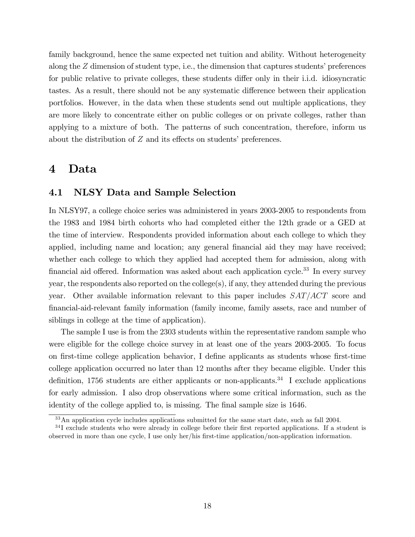family background, hence the same expected net tuition and ability. Without heterogeneity along the  $Z$  dimension of student type, i.e., the dimension that captures students' preferences for public relative to private colleges, these students differ only in their i.i.d. idiosyncratic tastes. As a result, there should not be any systematic difference between their application portfolios. However, in the data when these students send out multiple applications, they are more likely to concentrate either on public colleges or on private colleges, rather than applying to a mixture of both. The patterns of such concentration, therefore, inform us about the distribution of  $Z$  and its effects on students' preferences.

# 4 Data

### 4.1 NLSY Data and Sample Selection

In NLSY97, a college choice series was administered in years 2003-2005 to respondents from the 1983 and 1984 birth cohorts who had completed either the 12th grade or a GED at the time of interview. Respondents provided information about each college to which they applied, including name and location; any general financial aid they may have received; whether each college to which they applied had accepted them for admission, along with financial aid offered. Information was asked about each application cycle.<sup>33</sup> In every survey year, the respondents also reported on the college(s), if any, they attended during the previous year. Other available information relevant to this paper includes  $SAT/ACT$  score and Önancial-aid-relevant family information (family income, family assets, race and number of siblings in college at the time of application).

The sample I use is from the 2303 students within the representative random sample who were eligible for the college choice survey in at least one of the years 2003-2005. To focus on first-time college application behavior, I define applicants as students whose first-time college application occurred no later than 12 months after they became eligible. Under this definition, 1756 students are either applicants or non-applicants.<sup>34</sup> I exclude applications for early admission. I also drop observations where some critical information, such as the identity of the college applied to, is missing. The final sample size is 1646.

<sup>&</sup>lt;sup>33</sup>An application cycle includes applications submitted for the same start date, such as fall 2004.

<sup>&</sup>lt;sup>34</sup>I exclude students who were already in college before their first reported applications. If a student is observed in more than one cycle, I use only her/his first-time application/non-application information.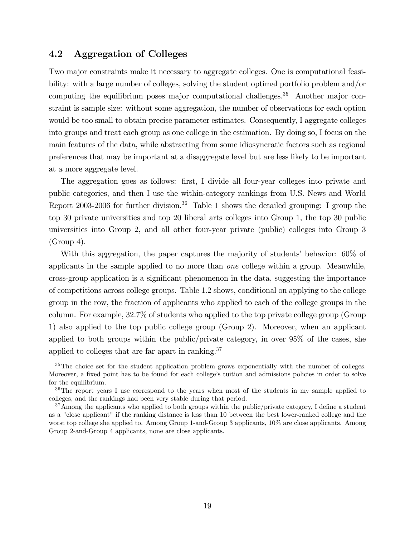# 4.2 Aggregation of Colleges

Two major constraints make it necessary to aggregate colleges. One is computational feasibility: with a large number of colleges, solving the student optimal portfolio problem and/or computing the equilibrium poses major computational challenges.<sup>35</sup> Another major constraint is sample size: without some aggregation, the number of observations for each option would be too small to obtain precise parameter estimates. Consequently, I aggregate colleges into groups and treat each group as one college in the estimation. By doing so, I focus on the main features of the data, while abstracting from some idiosyncratic factors such as regional preferences that may be important at a disaggregate level but are less likely to be important at a more aggregate level.

The aggregation goes as follows: first, I divide all four-year colleges into private and public categories, and then I use the within-category rankings from U.S. News and World Report 2003-2006 for further division.<sup>36</sup> Table 1 shows the detailed grouping: I group the top 30 private universities and top 20 liberal arts colleges into Group 1, the top 30 public universities into Group 2, and all other four-year private (public) colleges into Group 3 (Group 4).

With this aggregation, the paper captures the majority of students' behavior: 60% of applicants in the sample applied to no more than one college within a group. Meanwhile, cross-group application is a significant phenomenon in the data, suggesting the importance of competitions across college groups. Table 1.2 shows, conditional on applying to the college group in the row, the fraction of applicants who applied to each of the college groups in the column. For example, 32:7% of students who applied to the top private college group (Group 1) also applied to the top public college group (Group 2). Moreover, when an applicant applied to both groups within the public/private category, in over 95% of the cases, she applied to colleges that are far apart in ranking.<sup>37</sup>

<sup>&</sup>lt;sup>35</sup>The choice set for the student application problem grows exponentially with the number of colleges. Moreover, a fixed point has to be found for each college's tuition and admissions policies in order to solve for the equilibrium.

<sup>&</sup>lt;sup>36</sup>The report years I use correspond to the years when most of the students in my sample applied to colleges, and the rankings had been very stable during that period.

 $37$ Among the applicants who applied to both groups within the public/private category, I define a student as a "close applicant" if the ranking distance is less than 10 between the best lower-ranked college and the worst top college she applied to. Among Group 1-and-Group 3 applicants, 10% are close applicants. Among Group 2-and-Group 4 applicants, none are close applicants.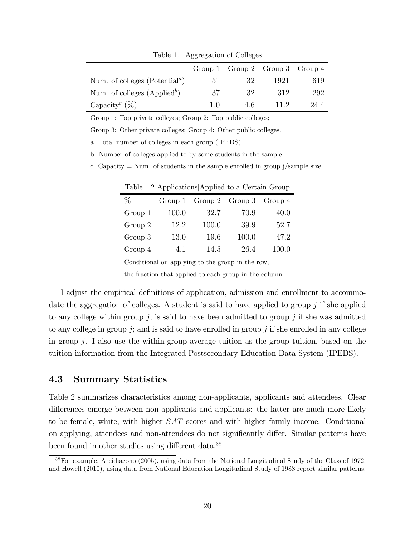|                                                         |     | Group 1 $Group 2$ $Group 3$ $Group 4$ |      |      |
|---------------------------------------------------------|-----|---------------------------------------|------|------|
| Num. of colleges (Potential <sup><math>a</math></sup> ) | ЬI  | 32                                    | 1921 | 619  |
| Num. of colleges $(Appliedb)$                           | 37  | 32                                    | 312  | 292  |
| Capacity <sup>c</sup> $(\%)$                            | 1 O | 4 6                                   | 11.2 | 24.4 |

Table 1.1 Aggregation of Colleges

Group 1: Top private colleges; Group 2: Top public colleges;

Group 3: Other private colleges; Group 4: Other public colleges.

a. Total number of colleges in each group (IPEDS).

b. Number of colleges applied to by some students in the sample.

c. Capacity  $=$  Num. of students in the sample enrolled in group  $j/s$  sample size.

| %       | Group 1 |       | Group 2 $Group 3$ | Group 4 |
|---------|---------|-------|-------------------|---------|
| Group 1 | 100.0   | 32.7  | 70.9              | 40.0    |
| Group 2 | 12.2    | 100.0 | 39.9              | 52.7    |
| Group 3 | 13.0    | 19.6  | 100.0             | 47.2    |
| Group 4 | 4.1     | 14.5  | 26.4              | 100.0   |

Table 1.2 ApplicationsjApplied to a Certain Group

Conditional on applying to the group in the row,

the fraction that applied to each group in the column.

I adjust the empirical definitions of application, admission and enrollment to accommodate the aggregation of colleges. A student is said to have applied to group  $j$  if she applied to any college within group  $j$ ; is said to have been admitted to group  $j$  if she was admitted to any college in group  $j$ ; and is said to have enrolled in group  $j$  if she enrolled in any college in group j. I also use the within-group average tuition as the group tuition, based on the tuition information from the Integrated Postsecondary Education Data System (IPEDS).

### 4.3 Summary Statistics

Table 2 summarizes characteristics among non-applicants, applicants and attendees. Clear differences emerge between non-applicants and applicants: the latter are much more likely to be female, white, with higher SAT scores and with higher family income. Conditional on applying, attendees and non-attendees do not significantly differ. Similar patterns have been found in other studies using different data.<sup>38</sup>

<sup>38</sup>For example, Arcidiacono (2005), using data from the National Longitudinal Study of the Class of 1972, and Howell (2010), using data from National Education Longitudinal Study of 1988 report similar patterns.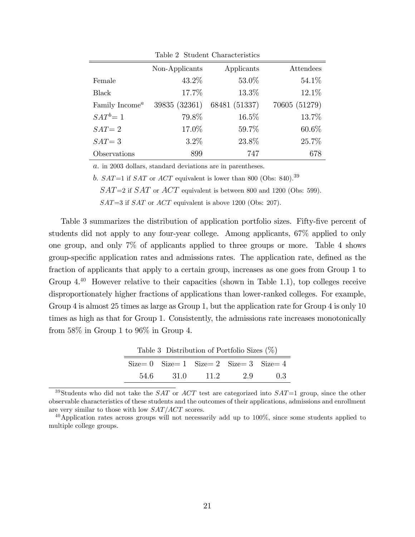|                            | Non-Applicants | Applicants    | Attendees     |
|----------------------------|----------------|---------------|---------------|
| Female                     | 43.2%          | 53.0%         | 54.1%         |
| <b>Black</b>               | 17.7%          | 13.3%         | 12.1%         |
| Family Income <sup>a</sup> | 39835 (32361)  | 68481 (51337) | 70605 (51279) |
| $SAT^b = 1$                | 79.8%          | 16.5%         | 13.7%         |
| $SAT = 2$                  | 17.0%          | 59.7%         | 60.6%         |
| $SAT = 3$                  | $3.2\%$        | 23.8%         | 25.7%         |
| Observations               | 899            | 747           | 678           |

Table 2 Student Characteristics

a. in 2003 dollars, standard deviations are in parentheses.

b.  $SAT=1$  if  $SAT$  or  $ACT$  equivalent is lower than 800 (Obs: 840).<sup>39</sup>

 $SAT=2$  if  $SAT$  or  $ACT$  equivalent is between 800 and 1200 (Obs: 599).

 $SAT=3$  if  $SAT$  or  $ACT$  equivalent is above 1200 (Obs: 207).

Table 3 summarizes the distribution of application portfolio sizes. Fifty-five percent of students did not apply to any four-year college. Among applicants, 67% applied to only one group, and only 7% of applicants applied to three groups or more. Table 4 shows group-specific application rates and admissions rates. The application rate, defined as the fraction of applicants that apply to a certain group, increases as one goes from Group 1 to Group  $4^{40}$  However relative to their capacities (shown in Table 1.1), top colleges receive disproportionately higher fractions of applications than lower-ranked colleges. For example, Group 4 is almost 25 times as large as Group 1, but the application rate for Group 4 is only 10 times as high as that for Group 1. Consistently, the admissions rate increases monotonically from 58% in Group 1 to 96% in Group 4.

| Table 3 Distribution of Portfolio Sizes $(\%)$ |                                                        |        |     |     |
|------------------------------------------------|--------------------------------------------------------|--------|-----|-----|
|                                                | $Size = 0$ $Size = 1$ $Size = 2$ $Size = 3$ $Size = 4$ |        |     |     |
| 54.6                                           | - 31 0                                                 | - 11.2 | 2.9 | 0.3 |

<sup>39</sup>Students who did not take the *SAT* or *ACT* test are categorized into *SAT*=1 group, since the other observable characteristics of these students and the outcomes of their applications, admissions and enrollment are very similar to those with low  $SAT/ACT$  scores.

 $^{40}$ Application rates across groups will not necessarily add up to 100%, since some students applied to multiple college groups.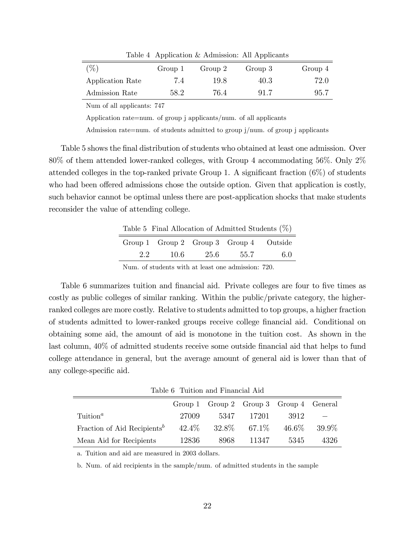| $(\%)$           | Group 1 | Group 2 | Group 3 | Group 4 |
|------------------|---------|---------|---------|---------|
| Application Rate | 7.4     | 19.8    | 40.3    | 72.0    |
| Admission Rate   | 58.2    | 76.4    | 91.7    | 95.7    |

Table 4 Application & Admission: All Applicants

Num of all applicants: 747

Application rate=num. of group j applicants/num. of all applicants

Admission rate=num. of students admitted to group j/num. of group j applicants

Table 5 shows the final distribution of students who obtained at least one admission. Over 80% of them attended lower-ranked colleges, with Group 4 accommodating 56%: Only 2% attended colleges in the top-ranked private Group 1. A significant fraction  $(6\%)$  of students who had been offered admissions chose the outside option. Given that application is costly, such behavior cannot be optimal unless there are post-application shocks that make students reconsider the value of attending college.

|               |                                         |        |      | Table 5 Final Allocation of Admitted Students $(\%)$ |
|---------------|-----------------------------------------|--------|------|------------------------------------------------------|
|               | Group 1 Group 2 Group 3 Group 4 Outside |        |      |                                                      |
| $2.2^{\circ}$ | -10.6                                   | - 25.6 | 55.7 | -6.0                                                 |

Num. of students with at least one admission: 720.

Table 6 summarizes tuition and financial aid. Private colleges are four to five times as costly as public colleges of similar ranking. Within the public/private category, the higherranked colleges are more costly. Relative to students admitted to top groups, a higher fraction of students admitted to lower-ranked groups receive college Önancial aid. Conditional on obtaining some aid, the amount of aid is monotone in the tuition cost. As shown in the last column,  $40\%$  of admitted students receive some outside financial aid that helps to fund college attendance in general, but the average amount of general aid is lower than that of any college-specific aid.

Table 6 Tuition and Financial Aid

|                                         |          | Group 1 Group 2 Group 3 Group 4 General |        |       |       |
|-----------------------------------------|----------|-----------------------------------------|--------|-------|-------|
| $Tuition^a$                             | 27009    | 5347                                    | -17201 | 3912  |       |
| Fraction of Aid Recipients <sup>b</sup> | $42.4\%$ | $32.8\%$                                | 67.1\% | 46.6% | 39.9% |
| Mean Aid for Recipients                 | 12836    | 8968                                    | 11347  | 5345  | 4326  |

a. Tuition and aid are measured in 2003 dollars.

b. Num. of aid recipients in the sample/num. of admitted students in the sample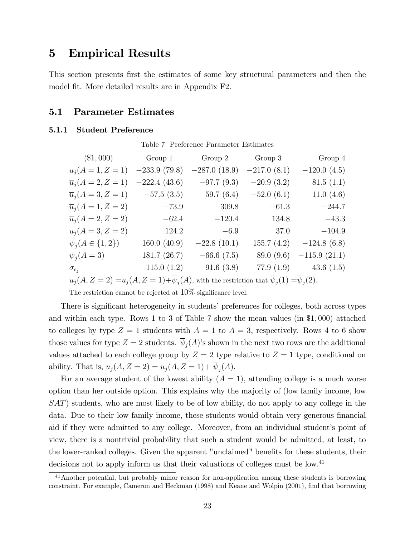# 5 Empirical Results

This section presents first the estimates of some key structural parameters and then the model fit. More detailed results are in Appendix F2.

# 5.1 Parameter Estimates

### 5.1.1 Student Preference

 $\sim$ 

| Table 7 Preference Parameter Estimates       |                |                |               |                                     |
|----------------------------------------------|----------------|----------------|---------------|-------------------------------------|
| $(\$1,000)$                                  | Group 1        | Group 2        | Group 3       | Group 4                             |
| $\overline{u}_i(A=1, Z=1)$                   | $-233.9(79.8)$ | $-287.0(18.9)$ | $-217.0(8.1)$ | $-120.0(4.5)$                       |
| $\overline{u}_i(A=2, Z=1)$                   | $-222.4(43.6)$ | $-97.7(9.3)$   | $-20.9(3.2)$  | 81.5(1.1)                           |
| $\overline{u}_i(A=3, Z=1)$                   | $-57.5(3.5)$   | 59.7 $(6.4)$   | $-52.0(6.1)$  | 11.0 $(4.6)$                        |
| $\overline{u}_i(A=1, Z=2)$                   | $-73.9$        | $-309.8$       | $-61.3$       | $-244.7$                            |
| $\overline{u}_i(A=2, Z=2)$                   | $-62.4$        | $-120.4$       | 134.8         | $-43.3$                             |
| $\overline{u}_i(A=3, Z=2)$                   | 124.2          | $-6.9$         | 37.0          | $-104.9$                            |
| $\overline{\psi}_i(A \in \{1,2\})$           | 160.0(40.9)    | $-22.8(10.1)$  | 155.7(4.2)    | $-124.8(6.8)$                       |
| $\overline{\psi}_i(A=3)$                     | 181.7 (26.7)   | $-66.6(7.5)$   | 89.0 (9.6)    | $-115.9(21.1)$                      |
| $\sigma_{\epsilon_i}$                        | 115.0(1.2)     | 91.6(3.8)      | 77.9(1.9)     | 43.6 $(1.5)$                        |
| $ (1 - 7 - 8)$ $ (1 - 7 - 1)$ $\sqrt{1 - 7}$ |                |                |               | $\overline{1}(4)$ $\overline{1}(3)$ |

 $\overline{u}_j(A, Z=2) = \overline{u}_j(A, Z=1) + \psi_j(A)$ , with the restriction that  $\psi_j(1) = \psi_j(2)$ .

The restriction cannot be rejected at  $10\%$  significance level.

There is significant heterogeneity in students' preferences for colleges, both across types and within each type. Rows 1 to 3 of Table 7 show the mean values (in \$1; 000) attached to colleges by type  $Z = 1$  students with  $A = 1$  to  $A = 3$ , respectively. Rows 4 to 6 show those values for type  $Z = 2$  students.  $\psi_j(A)$ 's shown in the next two rows are the additional values attached to each college group by  $Z = 2$  type relative to  $Z = 1$  type, conditional on ability. That is,  $\overline{u}_j(A, Z = 2) = \overline{u}_j(A, Z = 1) + \psi_j(A)$ .

For an average student of the lowest ability  $(A = 1)$ , attending college is a much worse option than her outside option. This explains why the majority of (low family income, low SAT) students, who are most likely to be of low ability, do not apply to any college in the data. Due to their low family income, these students would obtain very generous financial aid if they were admitted to any college. Moreover, from an individual student's point of view, there is a nontrivial probability that such a student would be admitted, at least, to the lower-ranked colleges. Given the apparent "unclaimed" benefits for these students, their decisions not to apply inform us that their valuations of colleges must be low.<sup>41</sup>

<sup>&</sup>lt;sup>41</sup>Another potential, but probably minor reason for non-application among these students is borrowing constraint. For example, Cameron and Heckman (1998) and Keane and Wolpin (2001), find that borrowing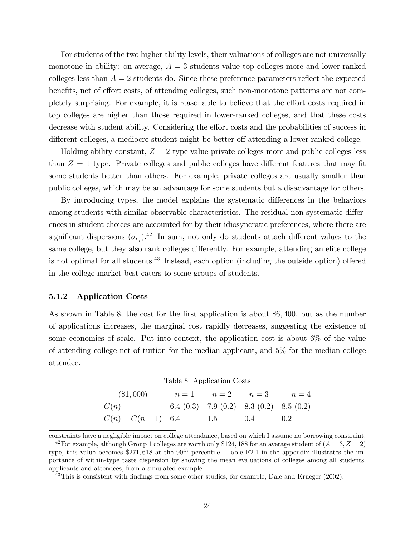For students of the two higher ability levels, their valuations of colleges are not universally monotone in ability: on average,  $A = 3$  students value top colleges more and lower-ranked colleges less than  $A = 2$  students do. Since these preference parameters reflect the expected benefits, net of effort costs, of attending colleges, such non-monotone patterns are not completely surprising. For example, it is reasonable to believe that the effort costs required in top colleges are higher than those required in lower-ranked colleges, and that these costs decrease with student ability. Considering the effort costs and the probabilities of success in different colleges, a mediocre student might be better off attending a lower-ranked college.

Holding ability constant,  $Z = 2$  type value private colleges more and public colleges less than  $Z = 1$  type. Private colleges and public colleges have different features that may fit some students better than others. For example, private colleges are usually smaller than public colleges, which may be an advantage for some students but a disadvantage for others.

By introducing types, the model explains the systematic differences in the behaviors among students with similar observable characteristics. The residual non-systematic differences in student choices are accounted for by their idiosyncratic preferences, where there are significant dispersions  $(\sigma_{\epsilon_j})$ .<sup>42</sup> In sum, not only do students attach different values to the same college, but they also rank colleges differently. For example, attending an elite college is not optimal for all students.<sup>43</sup> Instead, each option (including the outside option) offered in the college market best caters to some groups of students.

### 5.1.2 Application Costs

As shown in Table 8, the cost for the first application is about \$6,400, but as the number of applications increases, the marginal cost rapidly decreases, suggesting the existence of some economies of scale. Put into context, the application cost is about 6% of the value of attending college net of tuition for the median applicant, and 5% for the median college attendee.

| Table 8 Application Costs |  |                                         |  |       |
|---------------------------|--|-----------------------------------------|--|-------|
| $(\$1,000)$               |  | $n=1$ $n=2$ $n=3$                       |  | $n=4$ |
| C(n)                      |  | 6.4 (0.3) 7.9 (0.2) 8.3 (0.2) 8.5 (0.2) |  |       |
| $C(n) - C(n-1)$ 6.4       |  | 1.5 0.4                                 |  | 0.2   |

constraints have a negligible impact on college attendance, based on which I assume no borrowing constraint.

<sup>&</sup>lt;sup>42</sup>For example, although Group 1 colleges are worth only \$124, 188 for an average student of  $(A = 3, Z = 2)$ type, this value becomes  $271,618$  at the 90<sup>th</sup> percentile. Table F2.1 in the appendix illustrates the importance of within-type taste dispersion by showing the mean evaluations of colleges among all students, applicants and attendees, from a simulated example.

 $43$ This is consistent with findings from some other studies, for example, Dale and Krueger (2002).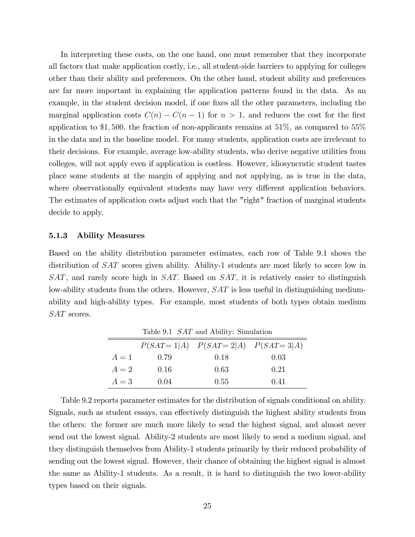In interpreting these costs, on the one hand, one must remember that they incorporate all factors that make application costly, i.e., all student-side barriers to applying for colleges other than their ability and preferences. On the other hand, student ability and preferences are far more important in explaining the application patterns found in the data. As an example, in the student decision model, if one fixes all the other parameters, including the marginal application costs  $C(n) - C(n - 1)$  for  $n > 1$ , and reduces the cost for the first application to \$1,500, the fraction of non-applicants remains at  $51\%$ , as compared to  $55\%$ in the data and in the baseline model. For many students, application costs are irrelevant to their decisions. For example, average low-ability students, who derive negative utilities from colleges, will not apply even if application is costless. However, idiosyncratic student tastes place some students at the margin of applying and not applying, as is true in the data, where observationally equivalent students may have very different application behaviors. The estimates of application costs adjust such that the "right" fraction of marginal students decide to apply.

### 5.1.3 Ability Measures

Based on the ability distribution parameter estimates, each row of Table 9.1 shows the distribution of SAT scores given ability. Ability-1 students are most likely to score low in  $SAT$ , and rarely score high in  $SAT$ . Based on  $SAT$ , it is relatively easier to distinguish low-ability students from the others. However,  $SAT$  is less useful in distinguishing mediumability and high-ability types. For example, most students of both types obtain medium SAT scores.

| Table 9.1 <i>SAT</i> and Ability: Simulation |      |      |      |  |  |
|----------------------------------------------|------|------|------|--|--|
| $P(SAT = 1 A)$ $P(SAT = 2 A)$ $P(SAT = 3 A)$ |      |      |      |  |  |
| $A=1$                                        | 0.79 | 0.18 | 0.03 |  |  |
| $A=2$                                        | 0.16 | 0.63 | 0.21 |  |  |
| $A=3$                                        | 0.04 | 0.55 | 0.41 |  |  |

Table 9.2 reports parameter estimates for the distribution of signals conditional on ability. Signals, such as student essays, can effectively distinguish the highest ability students from the others: the former are much more likely to send the highest signal, and almost never send out the lowest signal. Ability-2 students are most likely to send a medium signal, and they distinguish themselves from Ability-1 students primarily by their reduced probability of sending out the lowest signal. However, their chance of obtaining the highest signal is almost the same as Ability-1 students. As a result, it is hard to distinguish the two lower-ability types based on their signals.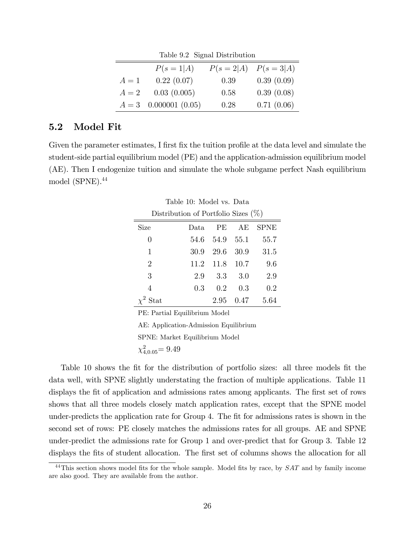| Table 9.2 Signal Distribution             |                         |      |            |  |  |
|-------------------------------------------|-------------------------|------|------------|--|--|
| $P(s = 1 A)$<br>$P(s = 2 A)$ $P(s = 3 A)$ |                         |      |            |  |  |
| $A=1$                                     | 0.22(0.07)              | 0.39 | 0.39(0.09) |  |  |
| $A=2$                                     | 0.03(0.005)             | 0.58 | 0.39(0.08) |  |  |
|                                           | $A = 3$ 0.000001 (0.05) | 0.28 | 0.71(0.06) |  |  |

# 5.2 Model Fit

Given the parameter estimates, I first fix the tuition profile at the data level and simulate the student-side partial equilibrium model (PE) and the application-admission equilibrium model (AE). Then I endogenize tuition and simulate the whole subgame perfect Nash equilibrium model  $(SPNE).<sup>44</sup>$ 

| Table 10: Model vs. Data |                                        |           |      |             |  |  |
|--------------------------|----------------------------------------|-----------|------|-------------|--|--|
|                          | Distribution of Portfolio Sizes $(\%)$ |           |      |             |  |  |
| Size                     | Data.                                  | PE        | AE   | <b>SPNE</b> |  |  |
| 0                        | 54.6                                   | 54.9 55.1 |      | 55.7        |  |  |
| 1                        | 30.9                                   | 29.6      | 30.9 | 31.5        |  |  |
| $\overline{2}$           | 11.2                                   | 11.8 10.7 |      | 9.6         |  |  |
| 3                        | 2.9                                    | 3.3       | 3.0  | 2.9         |  |  |
| 4                        | 0.3                                    | 0.2       | 0.3  | 0.2         |  |  |
| $\chi^2$ Stat            |                                        | 2.95      | 0.47 | 5.64        |  |  |

PE: Partial Equilibrium Model

AE: Application-Admission Equilibrium SPNE: Market Equilibrium Model

 $\chi^2_{4,0.05}$ = 9.49

Table 10 shows the fit for the distribution of portfolio sizes: all three models fit the data well, with SPNE slightly understating the fraction of multiple applications. Table 11 displays the fit of application and admissions rates among applicants. The first set of rows shows that all three models closely match application rates, except that the SPNE model under-predicts the application rate for Group 4. The fit for admissions rates is shown in the second set of rows: PE closely matches the admissions rates for all groups. AE and SPNE under-predict the admissions rate for Group 1 and over-predict that for Group 3. Table 12 displays the fits of student allocation. The first set of columns shows the allocation for all

 $^{44}$ This section shows model fits for the whole sample. Model fits by race, by  $SAT$  and by family income are also good. They are available from the author.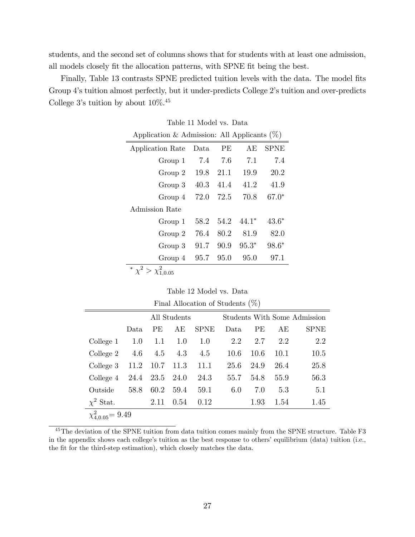students, and the second set of columns shows that for students with at least one admission, all models closely fit the allocation patterns, with SPNE fit being the best.

Finally, Table 13 contrasts SPNE predicted tuition levels with the data. The model fits Group 4's tuition almost perfectly, but it under-predicts College 2's tuition and over-predicts College 3's tuition by about  $10\%$ .<sup>45</sup>

| Application & Admission: All Applicants $(\%)$ |      |      |         |         |  |
|------------------------------------------------|------|------|---------|---------|--|
| Application Rate                               | Data | PE   | AE      | SPNE    |  |
| Group 1                                        | 7.4  | 7.6  | 71      | 7.4     |  |
| Group 2                                        | 19.8 | 21.1 | 19.9    | 20.2    |  |
| Group 3                                        | 40.3 | 41.4 | 41.2    | 41.9    |  |
| Group 4                                        | 72.0 | 72.5 | 70.8    | $67.0*$ |  |
| Admission Rate                                 |      |      |         |         |  |
| Group 1                                        | 58.2 | 54.2 | $44.1*$ | $43.6*$ |  |
| Group 2                                        | 76.4 | 80.2 | 81.9    | 82.0    |  |
| Group 3                                        | 91.7 | 90.9 | $95.3*$ | $98.6*$ |  |
| Group 4                                        | 95.7 | 95.0 | 95.0    | 97.1    |  |
| * $\chi^2 > \chi^2_{1.0.05}$                   |      |      |         |         |  |

| Table 11 Model vs. Data |  |
|-------------------------|--|
|-------------------------|--|

| Final Allocation of Students $(\%)$          |      |                |      |             |      |           |      |             |
|----------------------------------------------|------|----------------|------|-------------|------|-----------|------|-------------|
| Students With Some Admission<br>All Students |      |                |      |             |      |           |      |             |
|                                              | Data | <b>PE</b>      | AЕ   | <b>SPNE</b> | Data | <b>PE</b> | AЕ   | <b>SPNE</b> |
| College 1                                    | 1.0  | 1.1            | 1.0  | 1.0         | 2.2  | 2.7       | 2.2  | 2.2         |
| College 2                                    | 4.6  | 4.5            | 4.3  | 4.5         | 10.6 | 10.6      | 10.1 | 10.5        |
| College 3                                    | 11.2 | $10.7$ 11.3    |      | 11.1        | 25.6 | 24.9      | 26.4 | 25.8        |
| College 4                                    |      | 24.4 23.5 24.0 |      | 24.3        | 55.7 | 54.8      | 55.9 | 56.3        |
| Outside                                      | 58.8 | 60.2           | 59.4 | 59.1        | 6.0  | 7.0       | 5.3  | 5.1         |
| $\chi^2$ Stat.                               |      | 2.11           | 0.54 | 0.12        |      | 1.93      | 1.54 | 1.45        |
| $\chi_{4.0.05}^2$ = 9.49                     |      |                |      |             |      |           |      |             |

<sup>45</sup>The deviation of the SPNE tuition from data tuition comes mainly from the SPNE structure. Table F3 in the appendix shows each college's tuition as the best response to others' equilibrium (data) tuition (i.e., the fit for the third-step estimation), which closely matches the data.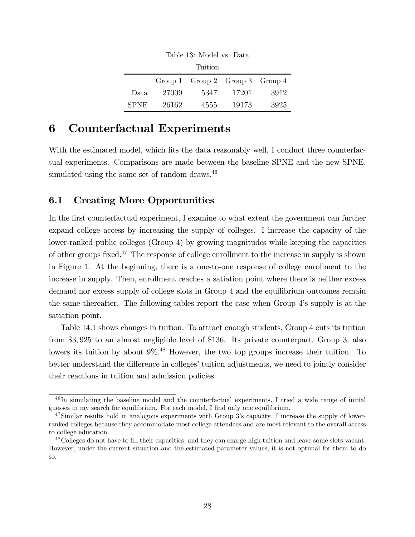|             |       | <b>Tuition</b>                  |       |      |
|-------------|-------|---------------------------------|-------|------|
|             |       | Group 1 Group 2 Group 3 Group 4 |       |      |
| Data        | 27009 | 5347                            | 17201 | 3912 |
| <b>SPNE</b> | 26162 | 4555                            | 19173 | 3925 |

Table 13: Model vs. Data

# 6 Counterfactual Experiments

With the estimated model, which fits the data reasonably well, I conduct three counterfactual experiments. Comparisons are made between the baseline SPNE and the new SPNE, simulated using the same set of random draws.<sup>46</sup>

# 6.1 Creating More Opportunities

In the first counterfactual experiment, I examine to what extent the government can further expand college access by increasing the supply of colleges. I increase the capacity of the lower-ranked public colleges (Group 4) by growing magnitudes while keeping the capacities of other groups fixed.<sup>47</sup> The response of college enrollment to the increase in supply is shown in Figure 1. At the beginning, there is a one-to-one response of college enrollment to the increase in supply. Then, enrollment reaches a satiation point where there is neither excess demand nor excess supply of college slots in Group 4 and the equilibrium outcomes remain the same thereafter. The following tables report the case when Group 4ís supply is at the satiation point.

Table 14.1 shows changes in tuition. To attract enough students, Group 4 cuts its tuition from \$3; 925 to an almost negligible level of \$136. Its private counterpart, Group 3, also lowers its tuition by about  $9\%$ .<sup>48</sup> However, the two top groups increase their tuition. To better understand the difference in colleges' tuition adjustments, we need to jointly consider their reactions in tuition and admission policies.

<sup>46</sup> In simulating the baseline model and the counterfactual experiments, I tried a wide range of initial guesses in my search for equilibrium. For each model, I find only one equilibrium.

 $47\,\mathrm{Similar}$  results hold in analogous experiments with Group 3's capacity. I increase the supply of lowerranked colleges because they accommodate most college attendees and are most relevant to the overall access to college education.

<sup>&</sup>lt;sup>48</sup>Colleges do not have to fill their capacities, and they can charge high tuition and leave some slots vacant. However, under the current situation and the estimated parameter values, it is not optimal for them to do so.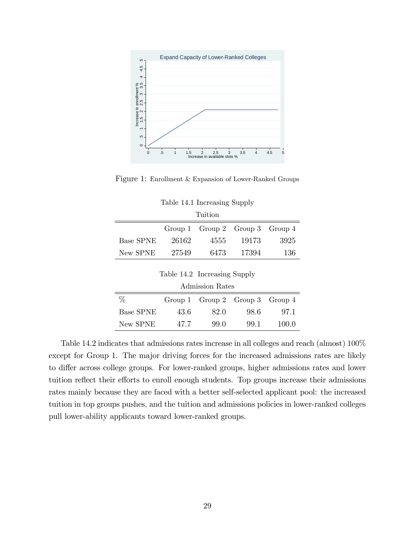

Figure 1: Enrollment & Expansion of Lower-Ranked Groups

| <b>Tuition</b>   |       |                                       |       |      |  |
|------------------|-------|---------------------------------------|-------|------|--|
|                  |       | Group 1 $Group 2$ $Group 3$ $Group 4$ |       |      |  |
| <b>Base SPNE</b> | 26162 | 4555                                  | 19173 | 3925 |  |
| New SPNE         | 27549 | 6473                                  | 17394 | 136  |  |

| w SPNE   | -27549 | 6473  | 17394  |    |
|----------|--------|-------|--------|----|
| se SPNE- | -26162 | 4555- | -19173 | 39 |

|  | Table 14.2 Increasing Supply |  |
|--|------------------------------|--|
|--|------------------------------|--|

| Admission Rates  |      |                                 |      |       |
|------------------|------|---------------------------------|------|-------|
| $\%$             |      | Group 1 Group 2 Group 3 Group 4 |      |       |
| <b>Base SPNE</b> | 43.6 | 82.0                            | 98.6 | 97.1  |
| New SPNE         | 47.7 | 99.0                            | 99.1 | 100.0 |

Table 14.2 indicates that admissions rates increase in all colleges and reach (almost) 100% except for Group 1. The major driving forces for the increased admissions rates are likely to differ across college groups. For lower-ranked groups, higher admissions rates and lower tuition reflect their efforts to enroll enough students. Top groups increase their admissions rates mainly because they are faced with a better self-selected applicant pool: the increased tuition in top groups pushes, and the tuition and admissions policies in lower-ranked colleges pull lower-ability applicants toward lower-ranked groups.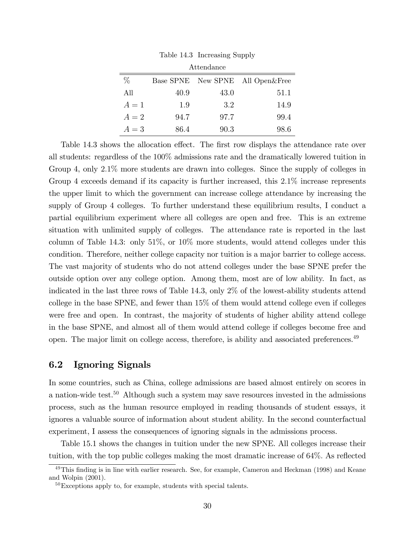| Attendance |      |      |                                  |  |  |
|------------|------|------|----------------------------------|--|--|
| $\%$       |      |      | Base SPNE New SPNE All Open&Free |  |  |
| All        | 40.9 | 43.0 | 51.1                             |  |  |
| $A=1$      | 1.9  | 3.2  | 14.9                             |  |  |
| $A=2$      | 94.7 | 97.7 | 99.4                             |  |  |
| $A=3$      | 86.4 | 90.3 | 98.6                             |  |  |

Table 14.3 Increasing Supply

Table 14.3 shows the allocation effect. The first row displays the attendance rate over all students: regardless of the 100% admissions rate and the dramatically lowered tuition in Group 4, only 2:1% more students are drawn into colleges. Since the supply of colleges in Group 4 exceeds demand if its capacity is further increased, this 2.1% increase represents the upper limit to which the government can increase college attendance by increasing the supply of Group 4 colleges. To further understand these equilibrium results, I conduct a partial equilibrium experiment where all colleges are open and free. This is an extreme situation with unlimited supply of colleges. The attendance rate is reported in the last column of Table 14.3: only 51%, or 10% more students, would attend colleges under this condition. Therefore, neither college capacity nor tuition is a major barrier to college access. The vast majority of students who do not attend colleges under the base SPNE prefer the outside option over any college option. Among them, most are of low ability. In fact, as indicated in the last three rows of Table 14.3, only 2% of the lowest-ability students attend college in the base SPNE, and fewer than 15% of them would attend college even if colleges were free and open. In contrast, the majority of students of higher ability attend college in the base SPNE, and almost all of them would attend college if colleges become free and open. The major limit on college access, therefore, is ability and associated preferences.<sup>49</sup>

### 6.2 Ignoring Signals

In some countries, such as China, college admissions are based almost entirely on scores in a nation-wide test.<sup>50</sup> Although such a system may save resources invested in the admissions process, such as the human resource employed in reading thousands of student essays, it ignores a valuable source of information about student ability. In the second counterfactual experiment, I assess the consequences of ignoring signals in the admissions process.

Table 15.1 shows the changes in tuition under the new SPNE. All colleges increase their tuition, with the top public colleges making the most dramatic increase of  $64\%$ . As reflected

<sup>&</sup>lt;sup>49</sup>This finding is in line with earlier research. See, for example, Cameron and Heckman (1998) and Keane and Wolpin (2001).

 $50E$ xceptions apply to, for example, students with special talents.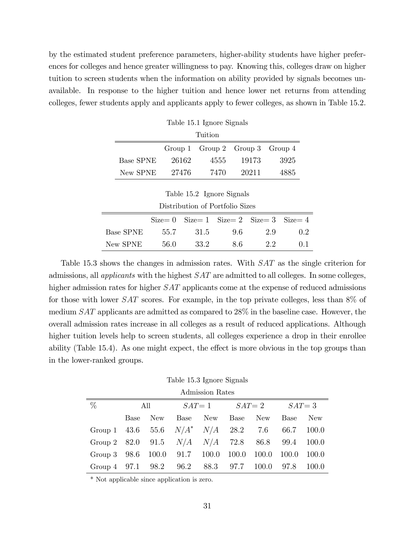by the estimated student preference parameters, higher-ability students have higher preferences for colleges and hence greater willingness to pay. Knowing this, colleges draw on higher tuition to screen students when the information on ability provided by signals becomes unavailable. In response to the higher tuition and hence lower net returns from attending colleges, fewer students apply and applicants apply to fewer colleges, as shown in Table 15.2.

|           | $20010 + 2011 + 201010 + 2101010$ |      |                                       |      |  |  |
|-----------|-----------------------------------|------|---------------------------------------|------|--|--|
| Tuition   |                                   |      |                                       |      |  |  |
|           |                                   |      | Group 1 $Group 2$ $Group 3$ $Group 4$ |      |  |  |
| Base SPNE | 26162                             | 4555 | 19173                                 | 3925 |  |  |
| New SPNE  | 27476                             | 7470 | 20211                                 | 4885 |  |  |

Table 15.1 Ignore Signals

| Table 15.2 Ignore Signals       |
|---------------------------------|
| Distribution of Portfolio Sizes |

| Distribution of 1 ortiging places |  |                                                        |    |     |           |  |
|-----------------------------------|--|--------------------------------------------------------|----|-----|-----------|--|
|                                   |  | $Size = 0$ $Size = 1$ $Size = 2$ $Size = 3$ $Size = 4$ |    |     |           |  |
| Base SPNE 55.7 31.5 9.6 2.9       |  |                                                        |    |     | 0.2       |  |
| New SPNE                          |  | 56.0 33.2                                              | 86 | 2.2 | $(1)$ . 1 |  |

Table 15.3 shows the changes in admission rates. With SAT as the single criterion for admissions, all applicants with the highest SAT are admitted to all colleges. In some colleges, higher admission rates for higher *SAT* applicants come at the expense of reduced admissions for those with lower SAT scores. For example, in the top private colleges, less than 8% of medium SAT applicants are admitted as compared to 28% in the baseline case. However, the overall admission rates increase in all colleges as a result of reduced applications. Although higher tuition levels help to screen students, all colleges experience a drop in their enrollee ability (Table 15.4). As one might expect, the effect is more obvious in the top groups than in the lower-ranked groups.

Table 15.3 Ignore Signals

| Admission Rates                                    |      |     |                              |  |                     |     |            |       |
|----------------------------------------------------|------|-----|------------------------------|--|---------------------|-----|------------|-------|
| $\%$                                               |      | All |                              |  | $SAT = 1$ $SAT = 2$ |     | $SAT = 3$  |       |
|                                                    | Base | New | Base New                     |  | Base                | New | Base       | New   |
| Group 1 43.6 55.6 $N/A^*$ $N/A$ 28.2 7.6           |      |     |                              |  |                     |     | 66.7 100.0 |       |
| Group 2 82.0 91.5 $N/A$ $N/A$ 72.8 86.8 99.4 100.0 |      |     |                              |  |                     |     |            |       |
| Group $3\quad 98.6$                                |      |     | 100.0 91.7 100.0 100.0 100.0 |  |                     |     | - 100.0    | 100.0 |
| Group 4 97.1 98.2 96.2 88.3 97.7 100.0 97.8        |      |     |                              |  |                     |     |            | 100.0 |

\* Not applicable since application is zero.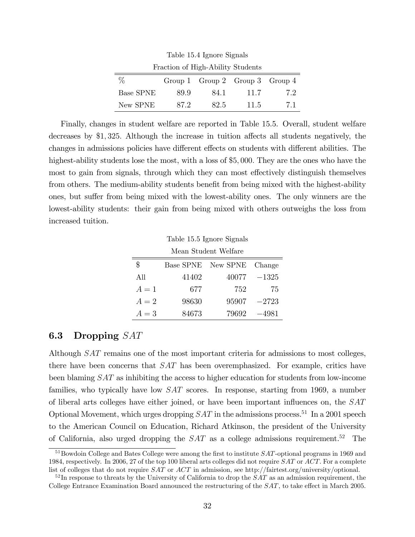| Fraction of High-Ability Students |      |                                 |      |     |  |  |
|-----------------------------------|------|---------------------------------|------|-----|--|--|
| $\%$                              |      | Group 1 Group 2 Group 3 Group 4 |      |     |  |  |
| <b>Base SPNE</b>                  | 89.9 | 84.1                            | 11.7 | 7.2 |  |  |
| New SPNE                          | 872  | 82.5                            | 11.5 | 71  |  |  |

Table 15.4 Ignore Signals

Finally, changes in student welfare are reported in Table 15.5. Overall, student welfare decreases by  $$1,325$ . Although the increase in tuition affects all students negatively, the changes in admissions policies have different effects on students with different abilities. The highest-ability students lose the most, with a loss of \$5,000. They are the ones who have the most to gain from signals, through which they can most effectively distinguish themselves from others. The medium-ability students benefit from being mixed with the highest-ability ones, but suffer from being mixed with the lowest-ability ones. The only winners are the lowest-ability students: their gain from being mixed with others outweighs the loss from increased tuition.

Table 15.5 Ignore Signals

| Mean Student Welfare |
|----------------------|
|----------------------|

| \$    |       | Base SPNE New SPNE Change |         |
|-------|-------|---------------------------|---------|
| All   | 41402 | 40077                     | $-1325$ |
| $A=1$ | 677   | 752                       | 75      |
| $A=2$ | 98630 | 95907                     | $-2723$ |
| $A=3$ | 84673 | 79692                     | $-4981$ |

### 6.3 Dropping SAT

Although SAT remains one of the most important criteria for admissions to most colleges, there have been concerns that SAT has been overemphasized. For example, critics have been blaming SAT as inhibiting the access to higher education for students from low-income families, who typically have low SAT scores. In response, starting from 1969, a number of liberal arts colleges have either joined, or have been important influences on, the  $SAT$ Optional Movement, which urges dropping  $SAT$  in the admissions process.<sup>51</sup> In a 2001 speech to the American Council on Education, Richard Atkinson, the president of the University of California, also urged dropping the  $SAT$  as a college admissions requirement.<sup>52</sup> The

 $51$ Bowdoin College and Bates College were among the first to institute  $SAT$ -optional programs in 1969 and 1984, respectively. In 2006, 27 of the top 100 liberal arts colleges did not require SAT or ACT. For a complete list of colleges that do not require SAT or ACT in admission, see http://fairtest.org/university/optional.

 $52$ In response to threats by the University of California to drop the  $SAT$  as an admission requirement, the College Entrance Examination Board announced the restructuring of the  $SAT$ , to take effect in March 2005.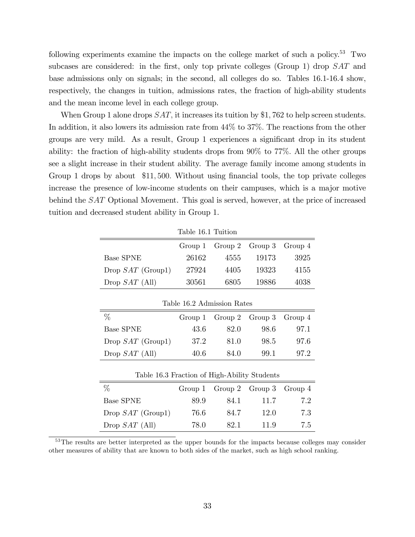following experiments examine the impacts on the college market of such a policy.<sup>53</sup> Two subcases are considered: in the first, only top private colleges (Group 1) drop  $SAT$  and base admissions only on signals; in the second, all colleges do so. Tables 16.1-16.4 show, respectively, the changes in tuition, admissions rates, the fraction of high-ability students and the mean income level in each college group.

When Group 1 alone drops  $SAT$ , it increases its tuition by \$1,762 to help screen students. In addition, it also lowers its admission rate from  $44\%$  to  $37\%$ . The reactions from the other groups are very mild. As a result, Group 1 experiences a significant drop in its student ability: the fraction of high-ability students drops from 90% to 77%: All the other groups see a slight increase in their student ability. The average family income among students in Group 1 drops by about \$11,500. Without using financial tools, the top private colleges increase the presence of low-income students on their campuses, which is a major motive behind the SAT Optional Movement. This goal is served, however, at the price of increased tuition and decreased student ability in Group 1.

| Table 16.1 Tuition         |         |         |         |         |  |
|----------------------------|---------|---------|---------|---------|--|
|                            | Group 1 | Group 2 | Group 3 | Group 4 |  |
| <b>Base SPNE</b>           | 26162   | 4555    | 19173   | 3925    |  |
| Drop $SAT$ (Group1)        | 27924   | 4405    | 19323   | 4155    |  |
| Drop $SAT$ (All)           | 30561   | 6805    | 19886   | 4038    |  |
| Table 16.2 Admission Rates |         |         |         |         |  |
| $\%$                       | Group 1 | Group 2 | Group 3 | Group 4 |  |
| <b>Base SPNE</b>           | 43.6    | 82.0    | 98.6    | 97.1    |  |
| Drop $SAT$ (Group1)        | 37.2    | 81.0    | 98.5    | 97.6    |  |
|                            |         |         |         |         |  |
| Drop $SAT$ (All)           | 40.6    | 84.0    | 99.1    | 97.2    |  |

| $\%$                |      | Group 1 Group 2 Group 3 Group 4 |      |     |
|---------------------|------|---------------------------------|------|-----|
| <b>Base SPNE</b>    | 89.9 | 84.1                            | 11.7 | 7.2 |
| Drop $SAT$ (Group1) | 76.6 | 84.7                            | 12.0 | 7.3 |
| Drop $SAT$ (All)    | 78.0 | 82-1                            | 119  | 7.5 |
|                     |      |                                 |      |     |

<sup>53</sup>The results are better interpreted as the upper bounds for the impacts because colleges may consider other measures of ability that are known to both sides of the market, such as high school ranking.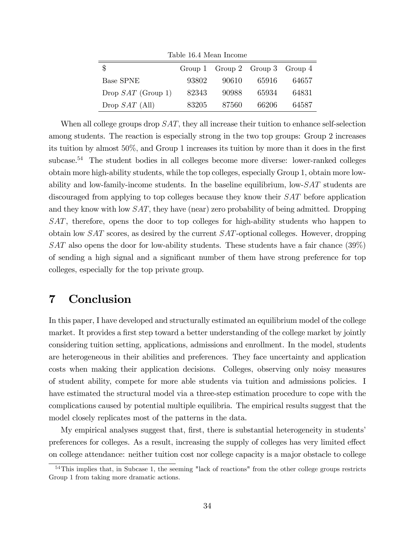| Table 16.4 Mean Income |       |                                 |       |       |  |  |
|------------------------|-------|---------------------------------|-------|-------|--|--|
| \$                     |       | Group 1 Group 2 Group 3 Group 4 |       |       |  |  |
| <b>Base SPNE</b>       | 93802 | 90610                           | 65916 | 64657 |  |  |
| Drop $SAT$ (Group 1)   | 82343 | 90988                           | 65934 | 64831 |  |  |
| Drop $SAT$ (All)       | 83205 | 87560                           | 66206 | 64587 |  |  |

When all college groups drop  $SAT$ , they all increase their tuition to enhance self-selection among students. The reaction is especially strong in the two top groups: Group 2 increases its tuition by almost  $50\%$ , and Group 1 increases its tuition by more than it does in the first subcase.<sup>54</sup> The student bodies in all colleges become more diverse: lower-ranked colleges obtain more high-ability students, while the top colleges, especially Group 1, obtain more lowability and low-family-income students. In the baseline equilibrium, low- $SAT$  students are discouraged from applying to top colleges because they know their SAT before application and they know with low  $SAT$ , they have (near) zero probability of being admitted. Dropping SAT, therefore, opens the door to top colleges for high-ability students who happen to obtain low SAT scores, as desired by the current SAT-optional colleges. However, dropping SAT also opens the door for low-ability students. These students have a fair chance (39%) of sending a high signal and a significant number of them have strong preference for top colleges, especially for the top private group.

# 7 Conclusion

In this paper, I have developed and structurally estimated an equilibrium model of the college market. It provides a first step toward a better understanding of the college market by jointly considering tuition setting, applications, admissions and enrollment. In the model, students are heterogeneous in their abilities and preferences. They face uncertainty and application costs when making their application decisions. Colleges, observing only noisy measures of student ability, compete for more able students via tuition and admissions policies. I have estimated the structural model via a three-step estimation procedure to cope with the complications caused by potential multiple equilibria. The empirical results suggest that the model closely replicates most of the patterns in the data.

My empirical analyses suggest that, first, there is substantial heterogeneity in students preferences for colleges. As a result, increasing the supply of colleges has very limited effect on college attendance: neither tuition cost nor college capacity is a major obstacle to college

<sup>54</sup>This implies that, in Subcase 1, the seeming "lack of reactions" from the other college groups restricts Group 1 from taking more dramatic actions.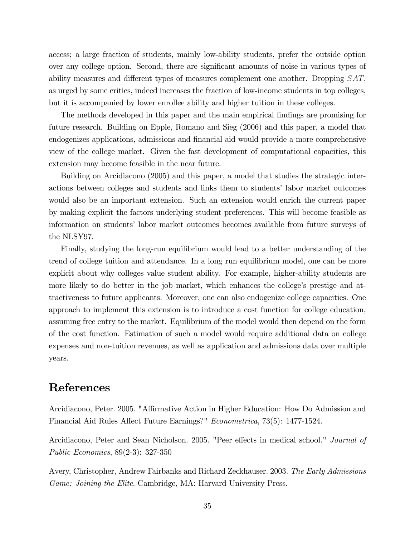access; a large fraction of students, mainly low-ability students, prefer the outside option over any college option. Second, there are significant amounts of noise in various types of ability measures and different types of measures complement one another. Dropping  $SAT$ , as urged by some critics, indeed increases the fraction of low-income students in top colleges, but it is accompanied by lower enrollee ability and higher tuition in these colleges.

The methods developed in this paper and the main empirical findings are promising for future research. Building on Epple, Romano and Sieg (2006) and this paper, a model that endogenizes applications, admissions and financial aid would provide a more comprehensive view of the college market. Given the fast development of computational capacities, this extension may become feasible in the near future.

Building on Arcidiacono (2005) and this paper, a model that studies the strategic interactions between colleges and students and links them to students' labor market outcomes would also be an important extension. Such an extension would enrich the current paper by making explicit the factors underlying student preferences. This will become feasible as information on students' labor market outcomes becomes available from future surveys of the NLSY97.

Finally, studying the long-run equilibrium would lead to a better understanding of the trend of college tuition and attendance. In a long run equilibrium model, one can be more explicit about why colleges value student ability. For example, higher-ability students are more likely to do better in the job market, which enhances the college's prestige and attractiveness to future applicants. Moreover, one can also endogenize college capacities. One approach to implement this extension is to introduce a cost function for college education, assuming free entry to the market. Equilibrium of the model would then depend on the form of the cost function. Estimation of such a model would require additional data on college expenses and non-tuition revenues, as well as application and admissions data over multiple years.

# References

Arcidiacono, Peter. 2005. "Affirmative Action in Higher Education: How Do Admission and Financial Aid Rules Affect Future Earnings?" Econometrica, 73(5): 1477-1524.

Arcidiacono, Peter and Sean Nicholson. 2005. "Peer effects in medical school." Journal of Public Economics, 89(2-3): 327-350

Avery, Christopher, Andrew Fairbanks and Richard Zeckhauser. 2003. The Early Admissions Game: Joining the Elite. Cambridge, MA: Harvard University Press.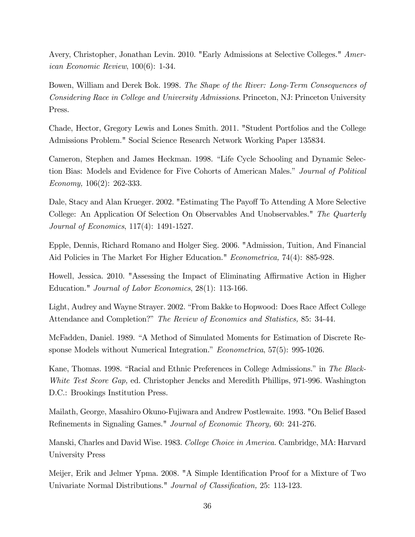Avery, Christopher, Jonathan Levin. 2010. "Early Admissions at Selective Colleges." American Economic Review, 100(6): 1-34.

Bowen, William and Derek Bok. 1998. The Shape of the River: Long-Term Consequences of Considering Race in College and University Admissions. Princeton, NJ: Princeton University Press.

Chade, Hector, Gregory Lewis and Lones Smith. 2011. "Student Portfolios and the College Admissions Problem." Social Science Research Network Working Paper 135834.

Cameron, Stephen and James Heckman. 1998. "Life Cycle Schooling and Dynamic Selection Bias: Models and Evidence for Five Cohorts of American Males." Journal of Political Economy, 106(2): 262-333.

Dale, Stacy and Alan Krueger. 2002. "Estimating The Payoff To Attending A More Selective College: An Application Of Selection On Observables And Unobservables." The Quarterly Journal of Economics, 117(4): 1491-1527.

Epple, Dennis, Richard Romano and Holger Sieg. 2006. "Admission, Tuition, And Financial Aid Policies in The Market For Higher Education." Econometrica, 74(4): 885-928.

Howell, Jessica. 2010. "Assessing the Impact of Eliminating Affirmative Action in Higher Education." Journal of Labor Economics, 28(1): 113-166.

Light, Audrey and Wayne Strayer. 2002. "From Bakke to Hopwood: Does Race Affect College Attendance and Completion?" The Review of Economics and Statistics, 85: 34-44.

McFadden, Daniel. 1989. "A Method of Simulated Moments for Estimation of Discrete Response Models without Numerical Integration."  $Econometrica$ , 57(5): 995-1026.

Kane, Thomas. 1998. "Racial and Ethnic Preferences in College Admissions." in The Black-White Test Score Gap, ed. Christopher Jencks and Meredith Phillips, 971-996. Washington D.C.: Brookings Institution Press.

Mailath, George, Masahiro Okuno-Fujiwara and Andrew Postlewaite. 1993. "On Belief Based Refinements in Signaling Games." Journal of Economic Theory, 60: 241-276.

Manski, Charles and David Wise. 1983. College Choice in America. Cambridge, MA: Harvard University Press

Meijer, Erik and Jelmer Ypma. 2008. "A Simple Identification Proof for a Mixture of Two Univariate Normal Distributions." Journal of Classification, 25: 113-123.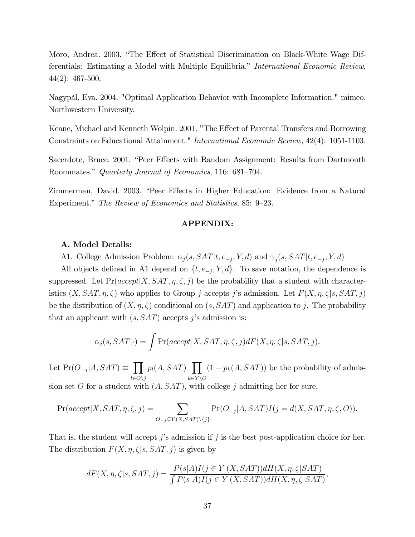Moro, Andrea. 2003. "The Effect of Statistical Discrimination on Black-White Wage Differentials: Estimating a Model with Multiple Equilibria." International Economic Review, 44(2): 467-500.

Nagypál, Eva. 2004. "Optimal Application Behavior with Incomplete Information." mimeo, Northwestern University.

Keane, Michael and Kenneth Wolpin. 2001. "The Effect of Parental Transfers and Borrowing Constraints on Educational Attainment." International Economic Review, 42(4): 1051-1103.

Sacerdote, Bruce. 2001. "Peer Effects with Random Assignment: Results from Dartmouth Roommates." Quarterly Journal of Economics, 116: 681–704.

Zimmerman, David. 2003. "Peer Effects in Higher Education: Evidence from a Natural Experiment." The Review of Economics and Statistics, 85: 9–23.

### APPENDIX:

#### A. Model Details:

A1. College Admission Problem:  $\alpha_j(s, SAT | t, e_{-j}, Y, d)$  and  $\gamma_j(s, SAT | t, e_{-j}, Y, d)$ 

All objects defined in A1 depend on  $\{t, e_{-j}, Y, d\}$ . To save notation, the dependence is suppressed. Let  $Pr(accept|X, SAT, \eta, \zeta, j)$  be the probability that a student with characteristics  $(X, SAT, \eta, \zeta)$  who applies to Group j accepts j's admission. Let  $F(X, \eta, \zeta|s, SAT, j)$ be the distribution of  $(X, \eta, \zeta)$  conditional on  $(s, SAT)$  and application to j. The probability that an applicant with  $(s, SAT)$  accepts j's admission is:

$$
\alpha_j(s, SAT | \cdot) = \int \Pr(accept | X, SAT, \eta, \zeta, j) dF(X, \eta, \zeta | s, SAT, j).
$$

Let  $Pr(O_{-j}|A, SAT) \equiv \prod$  $l{\in}O\backslash j$  $p_l(A, SAT)$   $\prod$  $k\in Y\backslash O$  $(1 - p_k(A, SAT))$  be the probability of admis-

sion set O for a student with  $(A, SAT)$ , with college j admitting her for sure,

$$
\Pr(accept|X, SAT, \eta, \zeta, j) = \sum_{O_{-j} \subseteq Y(X, SAT) \setminus \{j\}} \Pr(O_{-j}|A, SAT)I(j = d(X, SAT, \eta, \zeta, O)).
$$

That is, the student will accept j's admission if j is the best post-application choice for her. The distribution  $F(X, \eta, \zeta | s, SAT, j)$  is given by

$$
dF(X, \eta, \zeta|s, SAT, j) = \frac{P(s|A)I(j \in Y(X, SAT))dH(X, \eta, \zeta|SAT)}{\int P(s|A)I(j \in Y(X, SAT))dH(X, \eta, \zeta|SAT)},
$$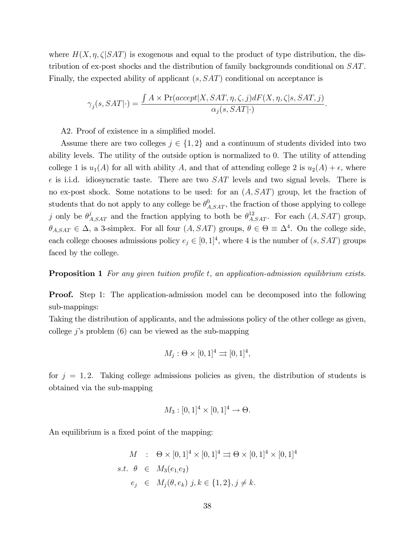where  $H(X, \eta, \zeta) SAT$  is exogenous and equal to the product of type distribution, the distribution of ex-post shocks and the distribution of family backgrounds conditional on SAT. Finally, the expected ability of applicant  $(s, SAT)$  conditional on acceptance is

$$
\gamma_j(s,SAT|\cdot)=\frac{\int A\times\Pr(accept|X,SAT,\eta,\zeta,j)dF(X,\eta,\zeta|s,SAT,j)}{\alpha_j(s,SAT|\cdot)}.
$$

A2. Proof of existence in a simplified model.

Assume there are two colleges  $j \in \{1, 2\}$  and a continuum of students divided into two ability levels. The utility of the outside option is normalized to 0. The utility of attending college 1 is  $u_1(A)$  for all with ability A, and that of attending college 2 is  $u_2(A) + \epsilon$ , where  $\epsilon$  is i.i.d. idiosyncratic taste. There are two SAT levels and two signal levels. There is no ex-post shock. Some notations to be used: for an  $(A, SAT)$  group, let the fraction of students that do not apply to any college be  $\theta_{A,SAT}^0$ , the fraction of those applying to college j only be  $\theta_{A,SAT}^j$  and the fraction applying to both be  $\theta_{A,SAT}^{12}$ . For each  $(A, SAT)$  group,  $\theta_{A,SAT} \in \Delta$ , a 3-simplex. For all four  $(A, SAT)$  groups,  $\theta \in \Theta \equiv \Delta^4$ . On the college side, each college chooses admissions policy  $e_j \in [0, 1]^4$ , where 4 is the number of  $(s, SAT)$  groups faced by the college.

**Proposition 1** For any given tuition profile t, an application-admission equilibrium exists.

**Proof.** Step 1: The application-admission model can be decomposed into the following sub-mappings:

Taking the distribution of applicants, and the admissions policy of the other college as given, college j's problem  $(6)$  can be viewed as the sub-mapping

$$
M_j: \Theta \times [0,1]^4 \rightrightarrows [0,1]^4,
$$

for  $j = 1, 2$ . Taking college admissions policies as given, the distribution of students is obtained via the sub-mapping

$$
M_3: [0,1]^4 \times [0,1]^4 \to \Theta.
$$

An equilibrium is a fixed point of the mapping:

$$
M : \Theta \times [0,1]^4 \times [0,1]^4 \Rightarrow \Theta \times [0,1]^4 \times [0,1]^4
$$
  
s.t.  $\theta \in M_3(e_1, e_2)$   
 $e_j \in M_j(\theta, e_k) \; j, k \in \{1,2\}, j \neq k.$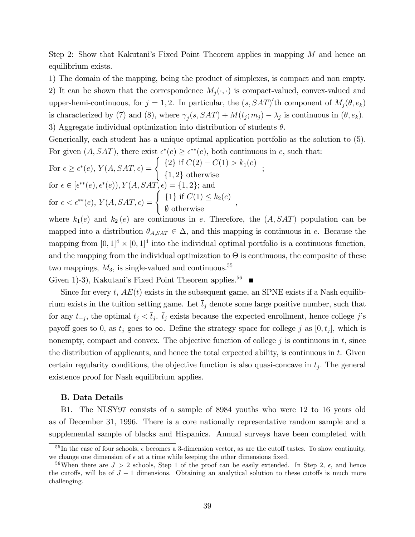Step 2: Show that Kakutani's Fixed Point Theorem applies in mapping  $M$  and hence an equilibrium exists.

1) The domain of the mapping, being the product of simplexes, is compact and non empty. 2) It can be shown that the correspondence  $M_i(\cdot, \cdot)$  is compact-valued, convex-valued and upper-hemi-continuous, for  $j = 1, 2$ . In particular, the  $(s, SAT)'$ th component of  $M_j(\theta, e_k)$ is characterized by (7) and (8), where  $\gamma_j(s, SAT) + M(t_j; m_j) - \lambda_j$  is continuous in  $(\theta, e_k)$ . 3) Aggregate individual optimization into distribution of students  $\theta$ .

Generically, each student has a unique optimal application portfolio as the solution to (5). For given  $(A, SAT)$ , there exist  $\epsilon^*(e) \geq \epsilon^{**}(e)$ , both continuous in e, such that:

For 
$$
\epsilon \ge \epsilon^*(e)
$$
,  $Y(A, SAT, \epsilon) = \begin{cases} \{2\} \text{ if } C(2) - C(1) > k_1(e) \\ \{1, 2\} \text{ otherwise} \end{cases}$ ;  
for  $\epsilon \in [\epsilon^{**}(e), \epsilon^*(e))$ ,  $Y(A, SAT, \epsilon) = \{1, 2\}$ ; and  
for  $\epsilon < \epsilon^{**}(e)$ ,  $Y(A, SAT, \epsilon) = \begin{cases} \{1\} \text{ if } C(1) \le k_2(e) \\ \emptyset \text{ otherwise} \end{cases}$ ,

where  $k_1(e)$  and  $k_2(e)$  are continuous in e. Therefore, the  $(A, SAT)$  population can be mapped into a distribution  $\theta_{A,SAT} \in \Delta$ , and this mapping is continuous in e. Because the mapping from  $[0,1]^4 \times [0,1]^4$  into the individual optimal portfolio is a continuous function, and the mapping from the individual optimization to  $\Theta$  is continuous, the composite of these two mappings,  $M_3$ , is single-valued and continuous.<sup>55</sup>

Given 1)-3), Kakutani's Fixed Point Theorem applies.<sup>56</sup>

Since for every t,  $AE(t)$  exists in the subsequent game, an SPNE exists if a Nash equilibrium exists in the tuition setting game. Let  $\bar{t}_j$  denote some large positive number, such that for any  $t_{-j}$ , the optimal  $t_j < \bar{t}_j$ .  $\bar{t}_j$  exists because the expected enrollment, hence college j's payoff goes to 0, as  $t_j$  goes to  $\infty$ . Define the strategy space for college j as  $[0, \bar{t}_j]$ , which is nonempty, compact and convex. The objective function of college  $j$  is continuous in  $t$ , since the distribution of applicants, and hence the total expected ability, is continuous in  $t$ . Given certain regularity conditions, the objective function is also quasi-concave in  $t_j$ . The general existence proof for Nash equilibrium applies.

### B. Data Details

B1. The NLSY97 consists of a sample of 8984 youths who were 12 to 16 years old as of December 31, 1996. There is a core nationally representative random sample and a supplemental sample of blacks and Hispanics. Annual surveys have been completed with

<sup>&</sup>lt;sup>55</sup>In the case of four schools,  $\epsilon$  becomes a 3-dimension vector, as are the cutoff tastes. To show continuity, we change one dimension of  $\epsilon$  at a time while keeping the other dimensions fixed.

<sup>&</sup>lt;sup>56</sup>When there are  $J > 2$  schools, Step 1 of the proof can be easily extended. In Step 2,  $\epsilon$ , and hence the cutoffs, will be of  $J-1$  dimensions. Obtaining an analytical solution to these cutoffs is much more challenging.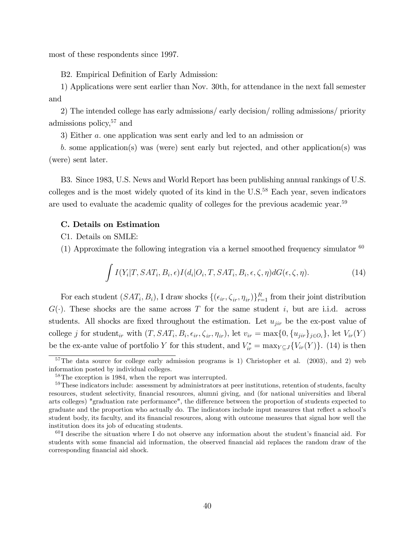most of these respondents since 1997.

B2. Empirical Definition of Early Admission:

1) Applications were sent earlier than Nov. 30th, for attendance in the next fall semester and

2) The intended college has early admissions/ early decision/ rolling admissions/ priority admissions policy,  $57$  and

3) Either a: one application was sent early and led to an admission or

b: some application(s) was (were) sent early but rejected, and other application(s) was (were) sent later.

B3. Since 1983, U.S. News and World Report has been publishing annual rankings of U.S. colleges and is the most widely quoted of its kind in the  $U.S.<sup>58</sup>$  Each year, seven indicators are used to evaluate the academic quality of colleges for the previous academic year.<sup>59</sup>

### C. Details on Estimation

C1. Details on SMLE:

(1) Approximate the following integration via a kernel smoothed frequency simulator  $60$ 

$$
\int I(Y_i|T, SAT_i, B_i, \epsilon) I(d_i|O_i, T, SAT_i, B_i, \epsilon, \zeta, \eta) dG(\epsilon, \zeta, \eta).
$$
\n(14)

For each student  $(SAT_i, B_i)$ , I draw shocks  $\{(\epsilon_{ir}, \zeta_{ir}, \eta_{ir})\}_{r=1}^R$  from their joint distribution  $G(\cdot)$ . These shocks are the same across T for the same student i, but are i.i.d. across students. All shocks are fixed throughout the estimation. Let  $u_{jir}$  be the ex-post value of college *j* for student<sub>ir</sub> with  $(T, SAT_i, B_i, \epsilon_{ir}, \zeta_{ir}, \eta_{ir})$ , let  $v_{ir} = \max\{0, \{u_{jir}\}_{j \in O_i}\}$ , let  $V_{ir}(Y)$ be the ex-ante value of portfolio Y for this student, and  $V_{ir}^* = \max_{Y \subseteq J} \{V_{ir}(Y)\}\$ . (14) is then

 $57$ The data source for college early admission programs is 1) Christopher et al. (2003), and 2) web information posted by individual colleges.

<sup>58</sup>The exception is 1984, when the report was interrupted.

<sup>&</sup>lt;sup>59</sup>These indicators include: assessment by administrators at peer institutions, retention of students, faculty resources, student selectivity, Önancial resources, alumni giving, and (for national universities and liberal arts colleges) "graduation rate performance", the difference between the proportion of students expected to graduate and the proportion who actually do. The indicators include input measures that reflect a school's student body, its faculty, and its financial resources, along with outcome measures that signal how well the institution does its job of educating students.

 $60$  I describe the situation where I do not observe any information about the student's financial aid. For students with some financial aid information, the observed financial aid replaces the random draw of the corresponding financial aid shock.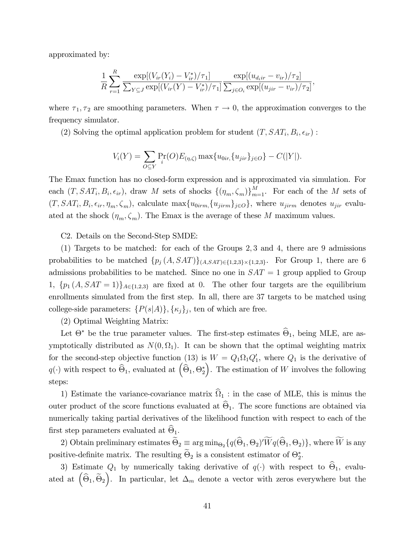approximated by:

$$
\frac{1}{R} \sum_{r=1}^{R} \frac{\exp[(V_{ir}(Y_i) - V_{ir}^*)/\tau_1]}{\sum_{Y \subseteq J} \exp[(V_{ir}(Y) - V_{ir}^*)/\tau_1]} \frac{\exp[(u_{d_iir} - v_{ir})/\tau_2]}{\sum_{j \in O_i} \exp[(u_{jir} - v_{ir})/\tau_2]},
$$

where  $\tau_1, \tau_2$  are smoothing parameters. When  $\tau \to 0$ , the approximation converges to the frequency simulator.

(2) Solving the optimal application problem for student  $(T, SAT_i, B_i, \epsilon_{ir})$ :

$$
V_i(Y) = \sum_{O \subseteq Y} \Pr_i(O) E_{(\eta, \zeta)} \max\{u_{0ir}, \{u_{jir}\}_{j \in O}\} - C(|Y|).
$$

The Emax function has no closed-form expression and is approximated via simulation. For each  $(T, SAT_i, B_i, \epsilon_{ir})$ , draw M sets of shocks  $\{(\eta_m, \zeta_m)\}_{m=1}^M$ . For each of the M sets of  $(T, SAT_i, B_i, \epsilon_{ir}, \eta_m, \zeta_m)$ , calculate  $\max\{u_{0irm}, \{u_{jirm}\}_{j \in O}\}\$ , where  $u_{jirm}$  denotes  $u_{jir}$  evaluated at the shock  $(\eta_m, \zeta_m)$ . The Emax is the average of these M maximum values.

C2. Details on the Second-Step SMDE:

(1) Targets to be matched: for each of the Groups 2; 3 and 4, there are 9 admissions probabilities to be matched  $\{p_j(A, SAT)\}_{(A, SAT) \in \{1, 2, 3\} \times \{1, 2, 3\}}$ . For Group 1, there are 6 admissions probabilities to be matched. Since no one in  $SAT = 1$  group applied to Group 1,  $\{p_1(A, SAT = 1)\}_{A \in \{1,2,3\}}$  are fixed at 0. The other four targets are the equilibrium enrollments simulated from the first step. In all, there are 37 targets to be matched using college-side parameters:  $\{P(s|A)\}, \{\kappa_j\}_j$ , ten of which are free.

(2) Optimal Weighting Matrix:

Let  $\Theta^*$  be the true parameter values. The first-step estimates  $\Theta_1$ , being MLE, are asymptotically distributed as  $N(0, \Omega_1)$ . It can be shown that the optimal weighting matrix for the second-step objective function (13) is  $W = Q_1 \Omega_1 Q'_1$ , where  $Q_1$  is the derivative of  $q(\cdot)$  with respect to  $\widehat{\Theta}_1$ , evaluated at  $\left(\widehat{\Theta}_1, \Theta^*_2\right)$ ). The estimation of  $W$  involves the following steps:

1) Estimate the variance-covariance matrix  $\Omega_1$ : in the case of MLE, this is minus the outer product of the score functions evaluated at  $\Theta_1$ . The score functions are obtained via numerically taking partial derivatives of the likelihood function with respect to each of the first step parameters evaluated at  $\Theta_1$ .

2) Obtain preliminary estimates  $\Theta_2 \equiv \arg \min_{\Theta_2} \{q(\Theta_1, \Theta_2)'Wq(\Theta_1, \Theta_2)\}\,$ , where W is any positive-definite matrix. The resulting  $\Theta_2$  is a consistent estimator of  $\Theta_2^*$ .

3) Estimate  $Q_1$  by numerically taking derivative of  $q(\cdot)$  with respect to  $\Theta_1$ , evaluated at  $(\hat{\Theta}_1, \tilde{\Theta}_2)$ ). In particular, let  $\Delta_m$  denote a vector with zeros everywhere but the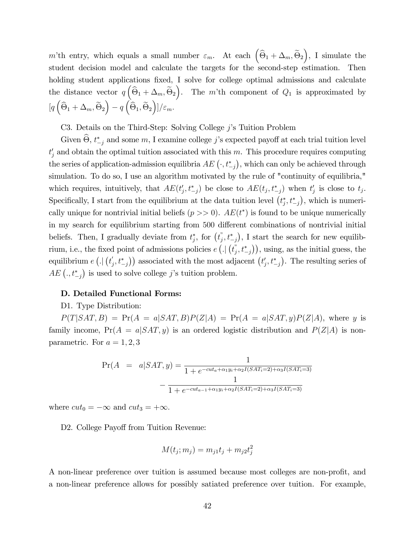m'th entry, which equals a small number  $\varepsilon_m$ . At each  $(\widehat{\Theta}_1 + \Delta_m, \widetilde{\Theta}_2)$  , I simulate the student decision model and calculate the targets for the second-step estimation. Then holding student applications fixed, I solve for college optimal admissions and calculate the distance vector  $q \left( \widehat{\Theta}_1 + \Delta_m, \widetilde{\Theta}_2 \right)$ ). The m'th component of  $Q_1$  is approximated by  $[q\left(\widehat{\Theta}_1 + \Delta_m, \widetilde{\Theta}_2\right)$  $- q \left( \hat{\Theta}_1, \widetilde{\Theta}_2 \right)$  $\bigg)\big]/\varepsilon_m.$ 

C3. Details on the Third-Step: Solving College  $j$ 's Tuition Problem

Given  $\Theta$ ,  $t^*_{-j}$  and some m, I examine college j's expected payoff at each trial tuition level  $t'_{j}$  and obtain the optimal tuition associated with this m. This procedure requires computing the series of application-admission equilibria  $AE\left(\cdot,t_{-j}^{*}\right)$ , which can only be achieved through simulation. To do so, I use an algorithm motivated by the rule of "continuity of equilibria," which requires, intuitively, that  $AE(t'_j, t^*_{-j})$  be close to  $AE(t_j, t^*_{-j})$  when  $t'_j$  is close to  $t_j$ . Specifically, I start from the equilibrium at the data tuition level  $(t_j^*, t_{-j}^*)$ , which is numerically unique for nontrivial initial beliefs  $(p \gg 0)$ .  $AE(t^*)$  is found to be unique numerically in my search for equilibrium starting from 500 different combinations of nontrivial initial beliefs. Then, I gradually deviate from  $t_j^*$ , for  $(t_j^*, t_{-j}^*)$ , I start the search for new equilibrium, i.e., the fixed point of admissions policies  $e\left(.\right|\left(t_j^*,t_{-j}^*\right)\right)$ , using, as the initial guess, the equilibrium  $e\left(.\right|\left(t'_{j},t^{*}_{-j}\right)\right)$  associated with the most adjacent  $\left(t'_{j},t^{*}_{-j}\right)$ . The resulting series of  $AE\left(.,t_{-j}^{*}\right)$  is used to solve college j's tuition problem.

### D. Detailed Functional Forms:

### D1. Type Distribution:

 $P(T|SAT, B) = Pr(A = a|SAT, B)P(Z|A) = Pr(A = a|SAT, y)P(Z|A)$ , where y is family income,  $Pr(A = a|SAT, y)$  is an ordered logistic distribution and  $P(Z|A)$  is nonparametric. For  $a = 1, 2, 3$ 

$$
\Pr(A = a|SAT, y) = \frac{1}{1 + e^{-cut_a + \alpha_1 y_i + \alpha_2 I(SAT_i = 2) + \alpha_3 I(SAT_i = 3)}}
$$

$$
- \frac{1}{1 + e^{-cut_{a-1} + \alpha_1 y_i + \alpha_2 I(SAT_i = 2) + \alpha_3 I(SAT_i = 3)}}
$$

where  $cut_0 = -\infty$  and  $cut_3 = +\infty$ .

D2. College Payoff from Tuition Revenue:

$$
M(t_j; m_j) = m_{j1}t_j + m_{j2}t_j^2
$$

A non-linear preference over tuition is assumed because most colleges are non-profit, and a non-linear preference allows for possibly satiated preference over tuition. For example,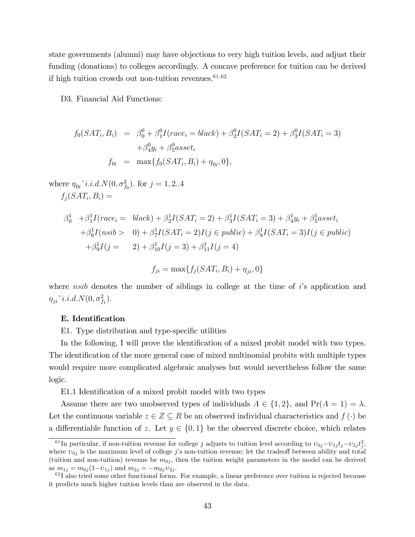state governments (alumni) may have objections to very high tuition levels, and adjust their funding (donations) to colleges accordingly. A concave preference for tuition can be derived if high tuition crowds out non-tuition revenues. $61,62$ 

D3. Financial Aid Functions:

$$
f_0(SAT_i, B_i) = \beta_0^0 + \beta_1^0 I(race_i = black) + \beta_2^0 I(SAT_i = 2) + \beta_3^0 I(SAT_i = 3) + \beta_4^0 y_i + \beta_5^0 asset_i f_{0i} = \max\{f_0(SAT_i, B_i) + \eta_{0i}, 0\},
$$

where  $\eta_{0i}^{\sim} i.i.d. N(0, \sigma_{f_0}^2)$ . for  $j = 1, 2...4$  $f_j(SAT_i, B_i) =$ 

$$
\beta_0^1 + \beta_1^1 I(race_i = black) + \beta_2^1 I(SAT_i = 2) + \beta_3^1 I(SAT_i = 3) + \beta_4^1 y_i + \beta_5^1 asset_i \n+ \beta_6^1 I(nsib > 0) + \beta_7^1 I(SAT_i = 2)I(j \in public) + \beta_8^1 I(SAT_i = 3)I(j \in public) \n+ \beta_9^1 I(j = 2) + \beta_{10}^1 I(j = 3) + \beta_{11}^1 I(j = 4)
$$

$$
f_{ji} = \max\{f_j(SAT_i, B_i) + \eta_{ji}, 0\}
$$

where nsib denotes the number of siblings in college at the time of  $i$ 's application and ji~i:i:d:N(0; <sup>2</sup> f1 ):

### E. Identification

E1. Type distribution and type-specific utilities

In the following, I will prove the identification of a mixed probit model with two types. The identification of the more general case of mixed multinomial probits with multiple types would require more complicated algebraic analyses but would nevertheless follow the same logic.

E1.1 Identification of a mixed probit model with two types

Assume there are two unobserved types of individuals  $A \in \{1, 2\}$ , and  $Pr(A = 1) = \lambda$ . Let the continuous variable  $z \in Z \subseteq R$  be an observed individual characteristics and  $f(\cdot)$  be a differentiable function of z. Let  $y \in \{0, 1\}$  be the observed discrete choice, which relates

<sup>&</sup>lt;sup>61</sup>In particular, if non-tuition revenue for college j adjusts to tuition level according to  $v_{0j} - v_{1j}t_j - v_{2j}t_j^2$ , where  $v_{0j}$  is the maximum level of college j's non-tuition revenue; let the tradeoff between ability and total (tuition and non-tuition) revenue be  $m_{0i}$ , then the tuition weight parameters in the model can be derived as  $m_{1j} = m_{0j}(1-v_{1j})$  and  $m_{2j} = -m_{0j}v_{2j}$ .

<sup>&</sup>lt;sup>62</sup>I also tried some other functional forms. For example, a linear preference over tuition is rejected because it predicts much higher tuition levels than are observed in the data.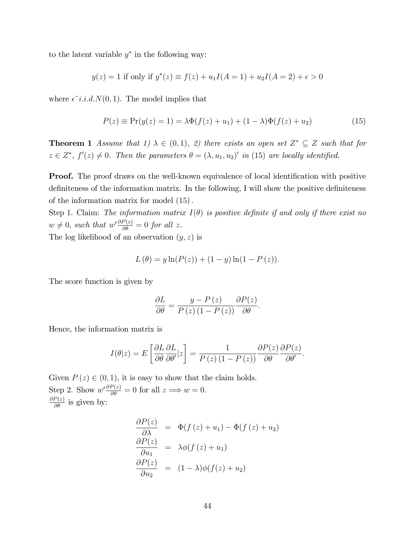to the latent variable  $y^*$  in the following way:

$$
y(z) = 1
$$
 if only if  $y^*(z) \equiv f(z) + u_1 I(A = 1) + u_2 I(A = 2) + \epsilon > 0$ 

where  $\epsilon \tilde{i}.i.d.N(0,1)$ . The model implies that

$$
P(z) \equiv \Pr(y(z) = 1) = \lambda \Phi(f(z) + u_1) + (1 - \lambda)\Phi(f(z) + u_2)
$$
\n(15)

**Theorem 1** Assume that 1)  $\lambda \in (0,1)$ , 2) there exists an open set  $Z^* \subseteq Z$  such that for  $z \in Z^*$ ,  $f'(z) \neq 0$ . Then the parameters  $\theta = (\lambda, u_1, u_2)'$  in (15) are locally identified.

**Proof.** The proof draws on the well-known equivalence of local identification with positive definiteness of the information matrix. In the following, I will show the positive definiteness of the information matrix for model  $(15)$ .

Step 1. Claim: The information matrix  $I(\theta)$  is positive definite if and only if there exist no  $w \neq 0$ , such that  $w' \frac{\partial P(z)}{\partial \theta} = 0$  for all z.

The log likelihood of an observation  $(y, z)$  is

$$
L(\theta) = y \ln(P(z)) + (1 - y) \ln(1 - P(z)).
$$

The score function is given by

$$
\frac{\partial L}{\partial \theta} = \frac{y - P(z)}{P(z) (1 - P(z))} \frac{\partial P(z)}{\partial \theta}.
$$

Hence, the information matrix is

$$
I(\theta|z) = E\left[\frac{\partial L}{\partial \theta}\frac{\partial L}{\partial \theta'}|z\right] = \frac{1}{P(z)(1-P(z))}\frac{\partial P(z)}{\partial \theta}\frac{\partial P(z)}{\partial \theta'}.
$$

Given  $P(z) \in (0, 1)$ , it is easy to show that the claim holds. Step 2. Show  $w' \frac{\partial P(z)}{\partial \theta} = 0$  for all  $z \implies w = 0$ .  $\frac{\partial P(z)}{\partial \theta}$  is given by:

$$
\frac{\partial P(z)}{\partial \lambda} = \Phi(f(z) + u_1) - \Phi(f(z) + u_2)
$$
  
\n
$$
\frac{\partial P(z)}{\partial u_1} = \lambda \phi(f(z) + u_1)
$$
  
\n
$$
\frac{\partial P(z)}{\partial u_2} = (1 - \lambda)\phi(f(z) + u_2)
$$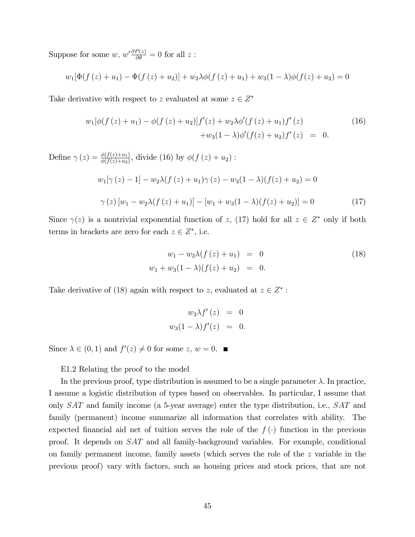Suppose for some  $w, w'\frac{\partial P(z)}{\partial \theta} = 0$  for all  $z$ :

$$
w_1[\Phi(f(z) + u_1) - \Phi(f(z) + u_2)] + w_2\lambda\phi(f(z) + u_1) + w_3(1 - \lambda)\phi(f(z) + u_2) = 0
$$

Take derivative with respect to z evaluated at some  $z \in Z^*$ 

$$
w_1[\phi(f(z) + u_1) - \phi(f(z) + u_2)]f'(z) + w_2\lambda\phi'(f(z) + u_1)f'(z)
$$
  
+
$$
w_3(1 - \lambda)\phi'(f(z) + u_2)f'(z) = 0.
$$
 (16)

Define  $\gamma(z) = \frac{\phi(f(z)+u_1)}{\phi(f(z)+u_2)}$ , divide (16) by  $\phi(f(z)+u_2)$ :  $w_1[\gamma(z) - 1] - w_2\lambda(f(z) + u_1)\gamma(z) - w_3(1 - \lambda)(f(z) + u_2) = 0$  $\gamma(z) [w_1 - w_2 \lambda (f(z) + u_1)] - [w_1 + w_3(1 - \lambda)(f(z) + u_2)] = 0$  (17)

Since  $\gamma(z)$  is a nontrivial exponential function of z, (17) hold for all  $z \in Z^*$  only if both terms in brackets are zero for each  $z \in Z^*$ , i.e.

$$
w_1 - w_2 \lambda (f(z) + u_1) = 0
$$
  
\n
$$
w_1 + w_3 (1 - \lambda) (f(z) + u_2) = 0.
$$
\n(18)

Take derivative of (18) again with respect to z, evaluated at  $z \in Z^*$ :

$$
w_2 \lambda f'(z) = 0
$$
  

$$
w_3(1 - \lambda)f'(z) = 0.
$$

Since  $\lambda \in (0,1)$  and  $f'(z) \neq 0$  for some  $z, w = 0$ .

E1.2 Relating the proof to the model

In the previous proof, type distribution is assumed to be a single parameter  $\lambda$ . In practice, I assume a logistic distribution of types based on observables. In particular, I assume that only SAT and family income (a 5-year average) enter the type distribution, i.e., SAT and family (permanent) income summarize all information that correlates with ability. The expected financial aid net of tuition serves the role of the  $f(\cdot)$  function in the previous proof. It depends on SAT and all family-background variables. For example, conditional on family permanent income, family assets (which serves the role of the z variable in the previous proof) vary with factors, such as housing prices and stock prices, that are not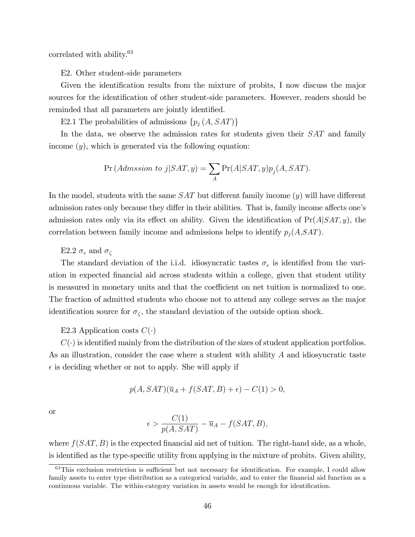correlated with ability.<sup>63</sup>

E2. Other student-side parameters

Given the identification results from the mixture of probits, I now discuss the major sources for the identification of other student-side parameters. However, readers should be reminded that all parameters are jointly identified.

E2.1 The probabilities of admissions  $\{p_j(A, SAT)\}\$ 

In the data, we observe the admission rates for students given their  $SAT$  and family income  $(y)$ , which is generated via the following equation:

$$
\Pr\left(Admission\ to\ j|SAT,y\right) = \sum_{A} \Pr(A|SAT,y) p_j(A,SAT).
$$

In the model, students with the same  $SAT$  but different family income  $(y)$  will have different admission rates only because they differ in their abilities. That is, family income affects one's admission rates only via its effect on ability. Given the identification of  $Pr(A|SAT, y)$ , the correlation between family income and admissions helps to identify  $p_j(A,SAT)$ .

E2.2  $\sigma_{\epsilon}$  and  $\sigma_{\zeta}$ 

The standard deviation of the i.i.d. idiosyncratic tastes  $\sigma_{\epsilon}$  is identified from the variation in expected Önancial aid across students within a college, given that student utility is measured in monetary units and that the coefficient on net tuition is normalized to one. The fraction of admitted students who choose not to attend any college serves as the major identification source for  $\sigma_{\zeta}$ , the standard deviation of the outside option shock.

### E2.3 Application costs  $C(\cdot)$

 $C(\cdot)$  is identified mainly from the distribution of the sizes of student application portfolios. As an illustration, consider the case where a student with ability A and idiosyncratic taste  $\epsilon$  is deciding whether or not to apply. She will apply if

$$
p(A, SAT)(\overline{u}_A + f(SAT, B) + \epsilon) - C(1) > 0,
$$

or

$$
\epsilon > \frac{C(1)}{p(A, SAT)} - \overline{u}_A - f(SAT, B),
$$

where  $f(SAT, B)$  is the expected financial aid net of tuition. The right-hand side, as a whole, is identified as the type-specific utility from applying in the mixture of probits. Given ability,

 $63$ This exclusion restriction is sufficient but not necessary for identification. For example, I could allow family assets to enter type distribution as a categorical variable, and to enter the financial aid function as a continuous variable. The within-category variation in assets would be enough for identification.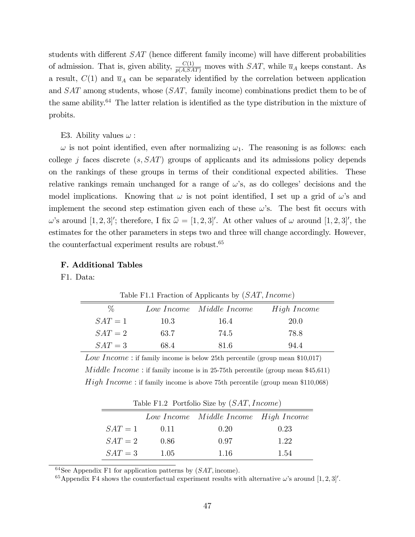students with different  $SAT$  (hence different family income) will have different probabilities of admission. That is, given ability,  $\frac{C(1)}{p(A, SAT)}$  moves with  $SAT$ , while  $\overline{u}_A$  keeps constant. As a result,  $C(1)$  and  $\bar{u}_A$  can be separately identified by the correlation between application and SAT among students, whose  $(SAT)$ , family income) combinations predict them to be of the same ability. $64$  The latter relation is identified as the type distribution in the mixture of probits.

### E3. Ability values  $\omega$ :

 $\omega$  is not point identified, even after normalizing  $\omega_1$ . The reasoning is as follows: each college j faces discrete  $(s, SAT)$  groups of applicants and its admissions policy depends on the rankings of these groups in terms of their conditional expected abilities. These relative rankings remain unchanged for a range of  $\omega$ 's, as do colleges' decisions and the model implications. Knowing that  $\omega$  is not point identified, I set up a grid of  $\omega$ 's and implement the second step estimation given each of these  $\omega$ 's. The best fit occurs with  $\omega$ 's around [1, 2, 3]'; therefore, I fix  $\hat{\omega} = [1, 2, 3]'.$  At other values of  $\omega$  around [1, 2, 3]', the estimates for the other parameters in steps two and three will change accordingly. However, the counterfactual experiment results are robust.<sup>65</sup>

### F. Additional Tables

F1. Data:

| ℅         |      | Low Income Middle Income | <i>High Income</i> |
|-----------|------|--------------------------|--------------------|
| $SAT = 1$ | 10.3 | 16.4                     | 20.0               |
| $SAT = 2$ | 63.7 | 74.5                     | 78.8               |
| $SAT = 3$ | 68.4 | 81.6                     | 94.4               |

Table F1.1 Fraction of Applicants by  $(SAT, Income)$ 

Low Income: if family income is below 25th percentile (group mean  $$10,017$ )  $Midde Income$ : if family income is in 25-75th percentile (group mean \$45,611)  $High\ Income$ : if family income is above 75th percentile (group mean \$110,068)

|  |  |  | Table F1.2 Portfolio Size by $(SAT, Income)$ |  |
|--|--|--|----------------------------------------------|--|
|--|--|--|----------------------------------------------|--|

|           |        | Low Income Middle Income High Income |      |
|-----------|--------|--------------------------------------|------|
| $SAT = 1$ | (0.11) | 0.20                                 | 0.23 |
| $SAT = 2$ | 0.86   | 0.97                                 | 1.22 |
| $SAT = 3$ | 1.05   | 1.16                                 | 1.54 |

 $64$ See Appendix F1 for application patterns by  $(SAT, \text{income}).$ 

<sup>65</sup> Appendix F4 shows the counterfactual experiment results with alternative  $\omega$ 's around  $[1, 2, 3]'$ .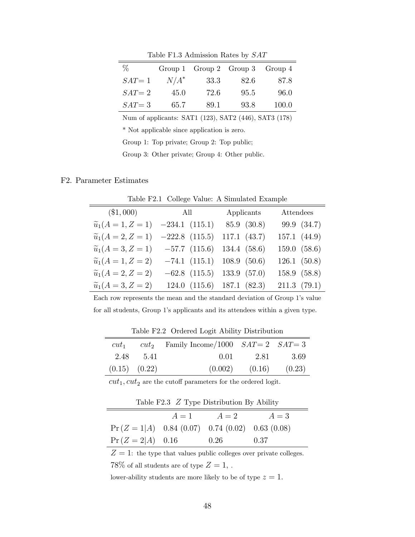| $\%$      |         | Group 1 $Group 2$ $Group 3$ |      | Group 4 |
|-----------|---------|-----------------------------|------|---------|
| $SAT = 1$ | $N/A^*$ | 33.3                        | 82.6 | 87.8    |
| $SAT = 2$ | 45.0    | 72.6                        | 95.5 | 96.0    |
| $SAT = 3$ | 65.7    | 89.1                        | 93.8 | 100.0   |

Table F1.3 Admission Rates by SAT

Num of applicants: SAT1 (123), SAT2 (446), SAT3 (178)

\* Not applicable since application is zero.

Group 1: Top private; Group 2: Top public;

Group 3: Other private; Group 4: Other public.

### F2. Parameter Estimates

 $\equiv$ 

Table F2.1 College Value: A Simulated Example

|                                 | $($1,000)$ All    | Applicants   | Attendees    |
|---------------------------------|-------------------|--------------|--------------|
| $\widetilde{u}_1(A = 1, Z = 1)$ | $-234.1(115.1)$   | 85.9 (30.8)  | 99.9 (34.7)  |
| $\widetilde{u}_1(A = 2, Z = 1)$ | $-222.8$ (115.5)  | 117.1 (43.7) | 157.1 (44.9) |
| $\widetilde{u}_1(A=3, Z=1)$     | $-57.7$ $(115.6)$ | 134.4 (58.6) | 159.0 (58.6) |
| $\widetilde{u}_1(A = 1, Z = 2)$ | $-74.1(115.1)$    | 108.9(50.6)  | 126.1(50.8)  |
| $\widetilde{u}_1(A = 2, Z = 2)$ | $-62.8$ $(115.5)$ | 133.9 (57.0) | 158.9 (58.8) |
| $\widetilde{u}_1(A = 3, Z = 2)$ | 124.0(115.6)      | 187.1 (82.3) | 211.3(79.1)  |
|                                 |                   |              |              |

Each row represents the mean and the standard deviation of Group 1's value for all students, Group 1's applicants and its attendees within a given type.

| $cut_1$           |           | $cut_2$ Family Income/1000 $SAT = 2$ $SAT = 3$ |                    |           |
|-------------------|-----------|------------------------------------------------|--------------------|-----------|
|                   | 2.48 5.41 | 0.01                                           |                    | 2.81 3.69 |
| $(0.15)$ $(0.22)$ |           |                                                | $(0.002)$ $(0.16)$ | (0.23)    |

Table F2.2 Ordered Logit Ability Distribution

 $\boldsymbol{cut}_1,\boldsymbol{cut}_2$  are the cutoff parameters for the ordered logit.

|  |  | Table F2.3 $Z$ Type Distribution By Ability |  |  |
|--|--|---------------------------------------------|--|--|
|--|--|---------------------------------------------|--|--|

|                                                   | $A=1$ | $A=2$ | $A=3$ |
|---------------------------------------------------|-------|-------|-------|
| $Pr(Z = 1 A)$ 0.84 (0.07) 0.74 (0.02) 0.63 (0.08) |       |       |       |
| $Pr(Z = 2 A)$ 0.16                                |       | 0.26  | 0.37  |

 $Z = 1$ : the type that values public colleges over private colleges. 78% of all students are of type  $Z=1$ ,.

lower-ability students are more likely to be of type  $z = 1$ .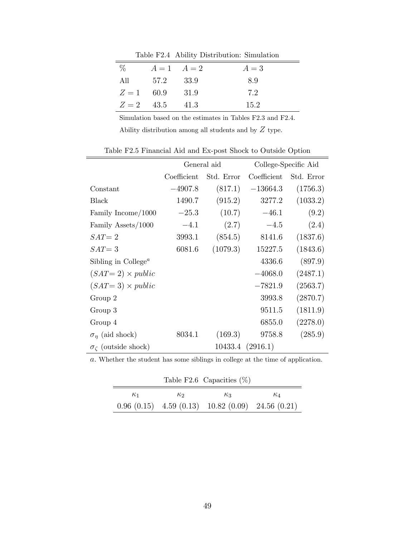Table F2.4 Ability Distribution: Simulation

| $\%$ | $A=1$ $A=2$       |        | $A=3$ |
|------|-------------------|--------|-------|
| All  | 57.2 33.9         |        | 89    |
|      | $Z = 1$ 60.9      | - 31.9 | 7.2   |
|      | $Z = 2$ 43.5 41.3 |        | 15.2  |

Simulation based on the estimates in Tables F2.3 and F2.4. Ability distribution among all students and by  $\boldsymbol{Z}$  type.

|                                              | General aid |            | College-Specific Aid |            |
|----------------------------------------------|-------------|------------|----------------------|------------|
|                                              | Coefficient | Std. Error | Coefficient          | Std. Error |
| Constant                                     | $-4907.8$   | (817.1)    | $-13664.3$           | (1756.3)   |
| <b>Black</b>                                 | 1490.7      | (915.2)    | 3277.2               | (1033.2)   |
| Family Income/1000                           | $-25.3$     | (10.7)     | $-46.1$              | (9.2)      |
| Family Assets/1000                           | $-4.1$      | (2.7)      | $-4.5$               | (2.4)      |
| $SAT = 2$                                    | 3993.1      | (854.5)    | 8141.6               | (1837.6)   |
| $SAT = 3$                                    | 6081.6      | (1079.3)   | 15227.5              | (1843.6)   |
| Sibling in College <sup><math>a</math></sup> |             |            | 4336.6               | (897.9)    |
| $(SAT=2) \times public$                      |             |            | $-4068.0$            | (2487.1)   |
| $(SAT=3) \times public$                      |             |            | $-7821.9$            | (2563.7)   |
| Group 2                                      |             |            | 3993.8               | (2870.7)   |
| Group 3                                      |             |            | 9511.5               | (1811.9)   |
| Group 4                                      |             |            | 6855.0               | (2278.0)   |
| $\sigma_n$ (aid shock)                       | 8034.1      | (169.3)    | 9758.8               | (285.9)    |
| $\sigma_{\zeta}$ (outside shock)             |             |            | 10433.4 (2916.1)     |            |

Table F2.5 Financial Aid and Ex-post Shock to Outside Option

a: Whether the student has some siblings in college at the time of application.

|            |            | Table F2.6 Capacities $(\%)$                             |            |
|------------|------------|----------------------------------------------------------|------------|
| $\kappa_1$ | $\kappa_2$ | $K_3$                                                    | $\kappa_A$ |
|            |            | $0.96(0.15)$ 4.59 $(0.13)$ 10.82 $(0.09)$ 24.56 $(0.21)$ |            |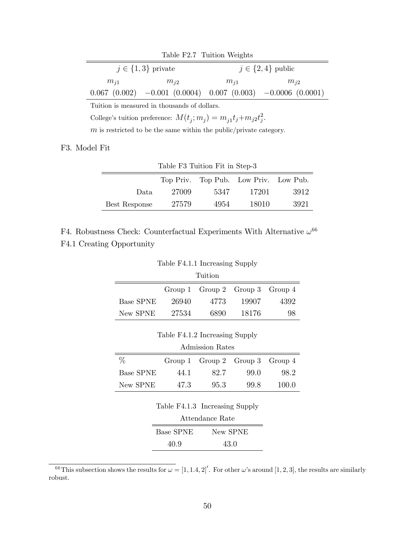| Table F2.7 Tuition Weights                         |          |          |                                                                              |  |  |
|----------------------------------------------------|----------|----------|------------------------------------------------------------------------------|--|--|
| $j \in \{1,3\}$ private<br>$j \in \{2, 4\}$ public |          |          |                                                                              |  |  |
| $m_{i1}$                                           | $m_{i2}$ | $m_{i1}$ | $m_{i2}$                                                                     |  |  |
|                                                    |          |          | $0.067$ $(0.002)$ $-0.001$ $(0.0004)$ $0.007$ $(0.003)$ $-0.0006$ $(0.0001)$ |  |  |
|                                                    |          |          |                                                                              |  |  |

Tuition is measured in thousands of dollars.

College's tuition preference:  $M(t_j; m_j) = m_{j1}t_j + m_{j2}t_j^2$ .

 $m$  is restricted to be the same within the public/private category.

F3. Model Fit

| Table F3 Tuition Fit in Step-3                  |       |      |       |      |  |
|-------------------------------------------------|-------|------|-------|------|--|
| Top Priv. Top Pub. Low Priv. Low Pub.           |       |      |       |      |  |
| Data.                                           | 27009 | 5347 | 17201 | 3912 |  |
| 27579<br>3921<br>4954<br>18010<br>Best Response |       |      |       |      |  |

F4. Robustness Check: Counterfactual Experiments With Alternative  $\omega^{66}$ F4.1 Creating Opportunity

Table F4.1.1 Increasing Supply

| Tuition          |       |                                       |       |      |
|------------------|-------|---------------------------------------|-------|------|
|                  |       | Group 1 $Group 2$ $Group 3$ $Group 4$ |       |      |
| <b>Base SPNE</b> | 26940 | 4773                                  | 19907 | 4392 |
| New SPNE         | 27534 | 6890                                  | 18176 | 98   |

Table F4.1.2 Increasing Supply

| Admission Rates  |      |                                       |      |       |
|------------------|------|---------------------------------------|------|-------|
| ℆                |      | Group 1 $Group 2$ $Group 3$ $Group 4$ |      |       |
| <b>Base SPNE</b> | 44 1 | 82.7                                  | 99.0 | 98.2  |
| New SPNE         | 473  | 95.3                                  | 99.8 | 100.0 |

| Table F4.1.3 Increasing Supply |  |  |  |
|--------------------------------|--|--|--|
|--------------------------------|--|--|--|

| <b>Base SPNE</b> | New SPNE |
|------------------|----------|
| 40.9             | 43.0     |

<sup>&</sup>lt;sup>66</sup>This subsection shows the results for  $\omega = [1, 1.4, 2]'.$  For other  $\omega$ 's around  $[1, 2, 3]$ , the results are similarly robust.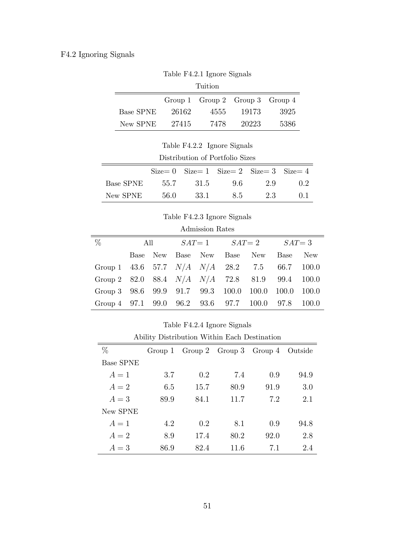# F4.2 Ignoring Signals

Table F4.2.1 Ignore Signals

| Tuition          |       |                                       |       |      |
|------------------|-------|---------------------------------------|-------|------|
|                  |       | Group 1 $Group 2$ $Group 3$ $Group 4$ |       |      |
| <b>Base SPNE</b> | 26162 | 4555                                  | 19173 | 3925 |
| New SPNE         | 27415 | 7478                                  | 20223 | 5386 |

Table F4.2.2 Ignore Signals

|           |        |        | $Size = 0$ $Size = 1$ $Size = 2$ $Size = 3$ $Size = 4$ |     |                              |
|-----------|--------|--------|--------------------------------------------------------|-----|------------------------------|
| Base SPNE | 55.7   | - 31.5 | 9.6                                                    | 99  | $\left( \frac{1}{2} \right)$ |
| New SPNE  | - 56.0 |        | 33.1 8.5                                               | 2.3 | -0 L                         |

Table F4.2.3 Ignore Signals

| Admission Rates |  |
|-----------------|--|
|-----------------|--|

| $\%$                                                | All |  | $SAT = 1$ $SAT = 2$ $SAT = 3$   |     |
|-----------------------------------------------------|-----|--|---------------------------------|-----|
|                                                     |     |  | Base New Base New Base New Base | New |
| Group 1 43.6 57.7 $N/A$ $N/A$ 28.2 7.5 66.7 100.0   |     |  |                                 |     |
| Group 2 82.0 88.4 $N/A$ $N/A$ 72.8 81.9 99.4 100.0  |     |  |                                 |     |
| Group 3 98.6 99.9 91.7 99.3 100.0 100.0 100.0 100.0 |     |  |                                 |     |
| Group 4 97.1 99.0 96.2 93.6 97.7 100.0 97.8 100.0   |     |  |                                 |     |

Table F4.2.4 Ignore Signals

| Ability Distribution Within Each Destination |         |      |                             |      |         |
|----------------------------------------------|---------|------|-----------------------------|------|---------|
| $\%$                                         | Group 1 |      | Group 2 $Group 3$ $Group 4$ |      | Outside |
| <b>Base SPNE</b>                             |         |      |                             |      |         |
| $A=1$                                        | 3.7     | 0.2  | 7.4                         | 0.9  | 94.9    |
| $A=2$                                        | 6.5     | 15.7 | 80.9                        | 91.9 | 3.0     |
| $A=3$                                        | 89.9    | 84.1 | 11.7                        | 7.2  | 2.1     |
| New SPNE                                     |         |      |                             |      |         |
| $A=1$                                        | 4.2     | 0.2  | 8.1                         | 0.9  | 94.8    |
| $A=2$                                        | 8.9     | 17.4 | 80.2                        | 92.0 | 2.8     |
| $A=3$                                        | 86.9    | 82.4 | 11.6                        | 7.1  | 24      |